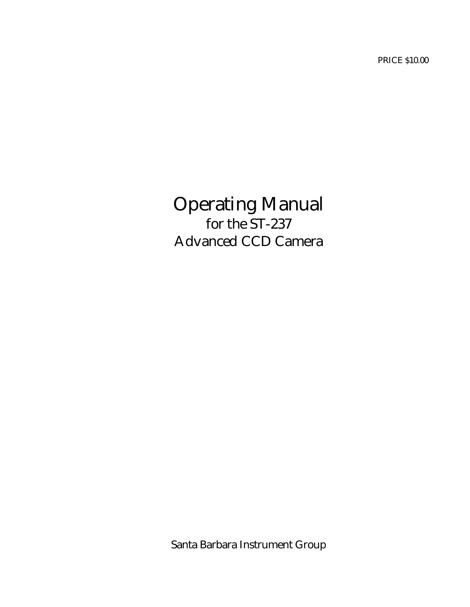PRICE \$10.00

# Operating Manual for the ST-237 Advanced CCD Camera

Santa Barbara Instrument Group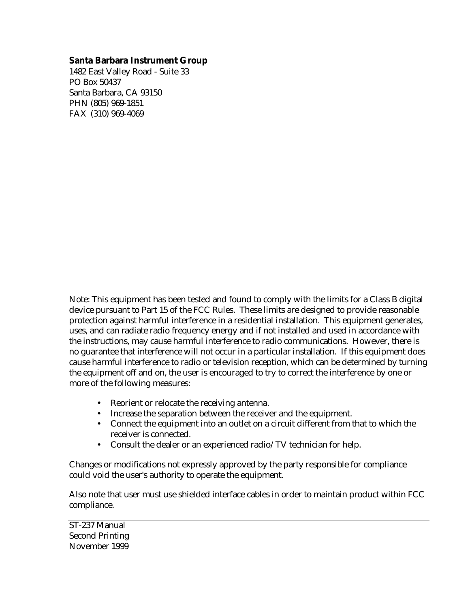#### **Santa Barbara Instrument Group**

1482 East Valley Road - Suite 33 PO Box 50437 Santa Barbara, CA 93150 PHN (805) 969-1851 FAX (310) 969-4069

Note: This equipment has been tested and found to comply with the limits for a Class B digital device pursuant to Part 15 of the FCC Rules. These limits are designed to provide reasonable protection against harmful interference in a residential installation. This equipment generates, uses, and can radiate radio frequency energy and if not installed and used in accordance with the instructions, may cause harmful interference to radio communications. However, there is no guarantee that interference will not occur in a particular installation. If this equipment does cause harmful interference to radio or television reception, which can be determined by turning the equipment off and on, the user is encouraged to try to correct the interference by one or more of the following measures:

- Reorient or relocate the receiving antenna.
- Increase the separation between the receiver and the equipment.
- Connect the equipment into an outlet on a circuit different from that to which the receiver is connected.
- Consult the dealer or an experienced radio/TV technician for help.

Changes or modifications not expressly approved by the party responsible for compliance could void the user's authority to operate the equipment.

Also note that user must use shielded interface cables in order to maintain product within FCC compliance.

ST-237 Manual Second Printing November 1999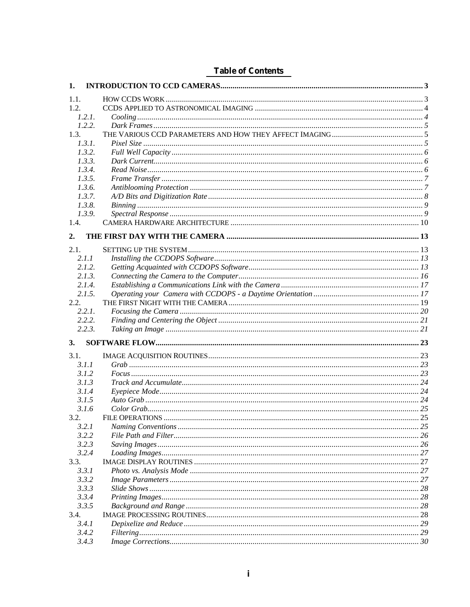| 1.             |  |
|----------------|--|
| 1.1.           |  |
| 1.2.           |  |
| 1.2.1.         |  |
| 1.2.2.         |  |
| 1.3.           |  |
| 1.3.1.         |  |
| 1.3.2.         |  |
| 1.3.3.         |  |
| 1.3.4.         |  |
| 1.3.5.         |  |
| 1.3.6.         |  |
| 1.3.7.         |  |
| 1.3.8.         |  |
| 1.3.9.         |  |
| 1.4.           |  |
| 2.             |  |
| 2.1.           |  |
| 2.1.1          |  |
| 2.1.2.         |  |
| 2.1.3.         |  |
| 2.1.4.         |  |
| 2.1.5.         |  |
| 2.2.           |  |
| 2.2.1.         |  |
| 2.2.2.         |  |
| 2.2.3.         |  |
| 3.             |  |
| 3.1.           |  |
| 3.1.1          |  |
| 3.1.2          |  |
| 3.1.3          |  |
| 3.1.4          |  |
| 3.1.5          |  |
| 3.1.6          |  |
| 3.2.           |  |
| 3.2.1          |  |
| 3.2.2          |  |
| 3.2.3          |  |
| 3.2.4          |  |
| 3.3.           |  |
| 3.3.1          |  |
| 3.3.2          |  |
| 3.3.3          |  |
| 3.3.4          |  |
| 3.3.5          |  |
| 3.4.           |  |
| 3.4.1          |  |
|                |  |
| 3.4.2<br>3.4.3 |  |

## **Table of Contents**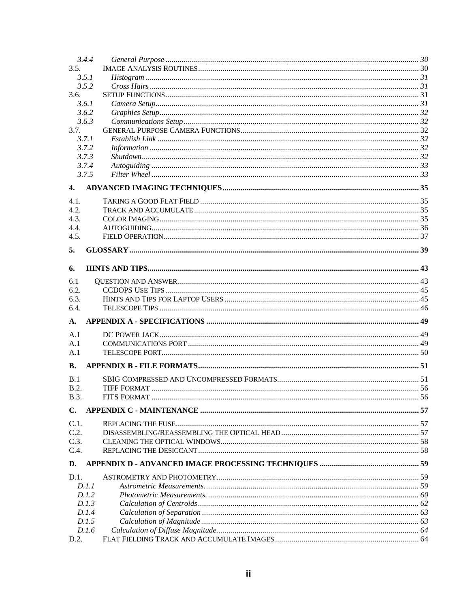| 3.4.4          |  |
|----------------|--|
| 3.5.           |  |
| 3.5.1          |  |
| 3.5.2          |  |
| 3.6.           |  |
| 3.6.1          |  |
| 3.6.2          |  |
| 3.6.3          |  |
| 3.7.           |  |
| 3.7.1          |  |
| 3.7.2          |  |
| 3.7.3          |  |
| 3.7.4          |  |
| 3.7.5          |  |
| 4.             |  |
| 4.1.           |  |
| 4.2.           |  |
| 4.3.           |  |
| 4.4.           |  |
| 4.5.           |  |
|                |  |
| 5.             |  |
| 6.             |  |
| 6.1            |  |
| 6.2.           |  |
| 6.3.           |  |
| 6.4.           |  |
| A.             |  |
|                |  |
| A.1<br>A.1     |  |
| A.1            |  |
|                |  |
| <b>B.</b>      |  |
| B.1            |  |
| B.2.           |  |
| <b>B.3.</b>    |  |
| $\mathbf{C}$ . |  |
|                |  |
| C.1.           |  |
| C.2.           |  |
| C.3.           |  |
| C.4.           |  |
| D.             |  |
| D.1.           |  |
| D.1.1          |  |
| D.1.2          |  |
| D.1.3          |  |
| D.1.4          |  |
| D.1.5          |  |
| D.1.6          |  |
| D.2.           |  |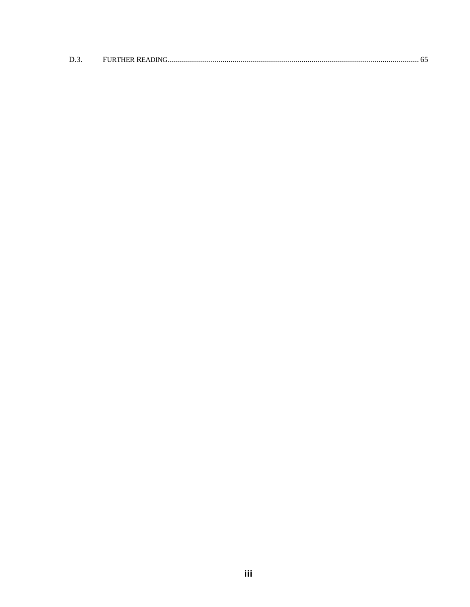| D.3 |  |  |
|-----|--|--|
|     |  |  |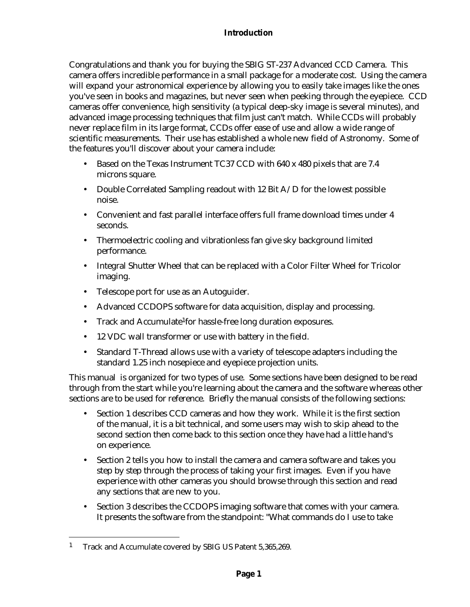#### **Introduction**

Congratulations and thank you for buying the SBIG ST-237 Advanced CCD Camera. This camera offers incredible performance in a small package for a moderate cost. Using the camera will expand your astronomical experience by allowing you to easily take images like the ones you've seen in books and magazines, but never seen when peeking through the eyepiece. CCD cameras offer convenience, high sensitivity (a typical deep-sky image is several minutes), and advanced image processing techniques that film just can't match. While CCDs will probably never replace film in its large format, CCDs offer ease of use and allow a wide range of scientific measurements. Their use has established a whole new field of Astronomy. Some of the features you'll discover about your camera include:

- Based on the Texas Instrument TC37 CCD with 640 x 480 pixels that are 7.4 microns square.
- Double Correlated Sampling readout with 12 Bit A/D for the lowest possible noise.
- Convenient and fast parallel interface offers full frame download times under 4 seconds.
- Thermoelectric cooling and vibrationless fan give sky background limited performance.
- Integral Shutter Wheel that can be replaced with a Color Filter Wheel for Tricolor imaging.
- Telescope port for use as an Autoguider.
- Advanced CCDOPS software for data acquisition, display and processing.
- Track and Accumulate<sup>1</sup> for hassle-free long duration exposures.
- 12 VDC wall transformer or use with battery in the field.
- Standard T-Thread allows use with a variety of telescope adapters including the standard 1.25 inch nosepiece and eyepiece projection units.

This manual is organized for two types of use. Some sections have been designed to be read through from the start while you're learning about the camera and the software whereas other sections are to be used for reference. Briefly the manual consists of the following sections:

- Section 1 describes CCD cameras and how they work. While it is the first section of the manual, it is a bit technical, and some users may wish to skip ahead to the second section then come back to this section once they have had a little hand's on experience.
- Section 2 tells you how to install the camera and camera software and takes you step by step through the process of taking your first images. Even if you have experience with other cameras you should browse through this section and read any sections that are new to you.
- Section 3 describes the CCDOPS imaging software that comes with your camera. It presents the software from the standpoint: "What commands do I use to take

 $\overline{a}$ 

<sup>&</sup>lt;sup>1</sup> Track and Accumulate covered by SBIG US Patent 5,365,269.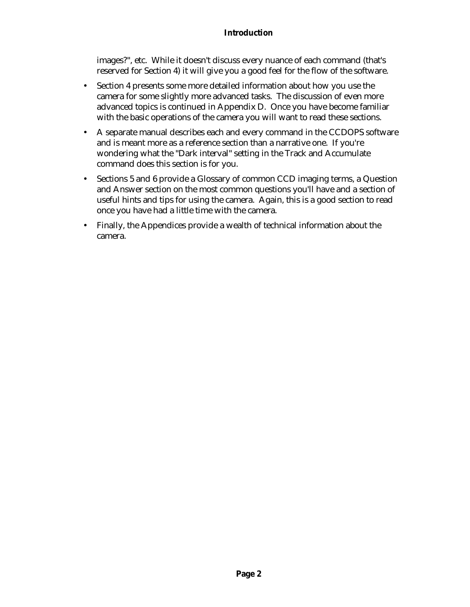#### **Introduction**

images?", etc. While it doesn't discuss every nuance of each command (that's reserved for Section 4) it will give you a good feel for the flow of the software.

- Section 4 presents some more detailed information about how you use the camera for some slightly more advanced tasks. The discussion of even more advanced topics is continued in Appendix D. Once you have become familiar with the basic operations of the camera you will want to read these sections.
- A separate manual describes each and every command in the CCDOPS software and is meant more as a reference section than a narrative one. If you're wondering what the "Dark interval" setting in the Track and Accumulate command does this section is for you.
- Sections 5 and 6 provide a Glossary of common CCD imaging terms, a Question and Answer section on the most common questions you'll have and a section of useful hints and tips for using the camera. Again, this is a good section to read once you have had a little time with the camera.
- Finally, the Appendices provide a wealth of technical information about the camera.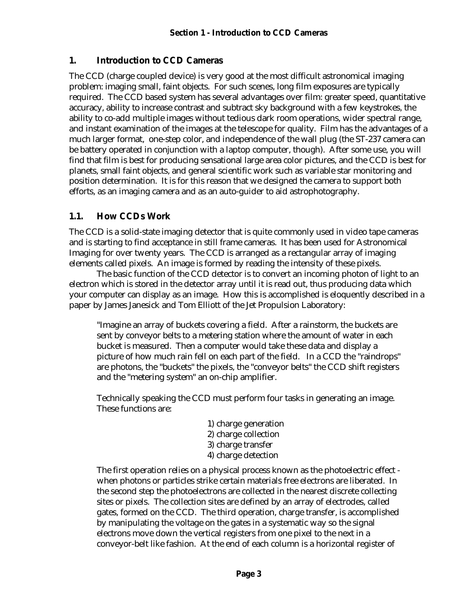## **1. Introduction to CCD Cameras**

The CCD (charge coupled device) is very good at the most difficult astronomical imaging problem: imaging small, faint objects. For such scenes, long film exposures are typically required. The CCD based system has several advantages over film: greater speed, quantitative accuracy, ability to increase contrast and subtract sky background with a few keystrokes, the ability to co-add multiple images without tedious dark room operations, wider spectral range, and instant examination of the images at the telescope for quality. Film has the advantages of a much larger format, one-step color, and independence of the wall plug (the ST-237 camera can be battery operated in conjunction with a laptop computer, though). After some use, you will find that film is best for producing sensational large area color pictures, and the CCD is best for planets, small faint objects, and general scientific work such as variable star monitoring and position determination. It is for this reason that we designed the camera to support both efforts, as an imaging camera and as an auto-guider to aid astrophotography.

# **1.1. How CCDs Work**

The CCD is a solid-state imaging detector that is quite commonly used in video tape cameras and is starting to find acceptance in still frame cameras. It has been used for Astronomical Imaging for over twenty years. The CCD is arranged as a rectangular array of imaging elements called pixels. An image is formed by reading the intensity of these pixels.

The basic function of the CCD detector is to convert an incoming photon of light to an electron which is stored in the detector array until it is read out, thus producing data which your computer can display as an image. How this is accomplished is eloquently described in a paper by James Janesick and Tom Elliott of the Jet Propulsion Laboratory:

"Imagine an array of buckets covering a field. After a rainstorm, the buckets are sent by conveyor belts to a metering station where the amount of water in each bucket is measured. Then a computer would take these data and display a picture of how much rain fell on each part of the field. In a CCD the "raindrops" are photons, the "buckets" the pixels, the "conveyor belts" the CCD shift registers and the "metering system" an on-chip amplifier.

Technically speaking the CCD must perform four tasks in generating an image. These functions are:

- 1) charge generation
- 2) charge collection
- 3) charge transfer
- 4) charge detection

The first operation relies on a physical process known as the photoelectric effect when photons or particles strike certain materials free electrons are liberated. In the second step the photoelectrons are collected in the nearest discrete collecting sites or pixels. The collection sites are defined by an array of electrodes, called gates, formed on the CCD. The third operation, charge transfer, is accomplished by manipulating the voltage on the gates in a systematic way so the signal electrons move down the vertical registers from one pixel to the next in a conveyor-belt like fashion. At the end of each column is a horizontal register of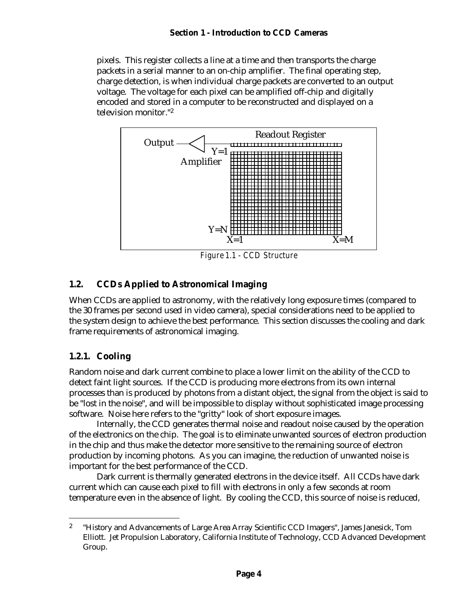#### **Section 1 - Introduction to CCD Cameras**

pixels. This register collects a line at a time and then transports the charge packets in a serial manner to an on-chip amplifier. The final operating step, charge detection, is when individual charge packets are converted to an output voltage. The voltage for each pixel can be amplified off-chip and digitally encoded and stored in a computer to be reconstructed and displayed on a television monitor."<sup>2</sup>



# **1.2. CCDs Applied to Astronomical Imaging**

When CCDs are applied to astronomy, with the relatively long exposure times (compared to the 30 frames per second used in video camera), special considerations need to be applied to the system design to achieve the best performance. This section discusses the cooling and dark frame requirements of astronomical imaging.

# **1.2.1. Cooling**

 $\overline{a}$ 

Random noise and dark current combine to place a lower limit on the ability of the CCD to detect faint light sources. If the CCD is producing more electrons from its own internal processes than is produced by photons from a distant object, the signal from the object is said to be "lost in the noise", and will be impossible to display without sophisticated image processing software. Noise here refers to the "gritty" look of short exposure images.

Internally, the CCD generates thermal noise and readout noise caused by the operation of the electronics on the chip. The goal is to eliminate unwanted sources of electron production in the chip and thus make the detector more sensitive to the remaining source of electron production by incoming photons. As you can imagine, the reduction of unwanted noise is important for the best performance of the CCD.

Dark current is thermally generated electrons in the device itself. All CCDs have dark current which can cause each pixel to fill with electrons in only a few seconds at room temperature even in the absence of light. By cooling the CCD, this source of noise is reduced,

<sup>2</sup> "History and Advancements of Large Area Array Scientific CCD Imagers", James Janesick, Tom Elliott. Jet Propulsion Laboratory, California Institute of Technology, CCD Advanced Development Group.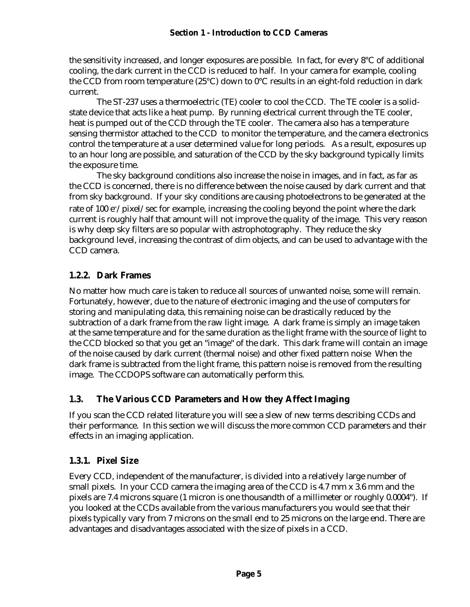#### **Section 1 - Introduction to CCD Cameras**

the sensitivity increased, and longer exposures are possible. In fact, for every 8°C of additional cooling, the dark current in the CCD is reduced to half. In your camera for example, cooling the CCD from room temperature (25°C) down to 0°C results in an eight-fold reduction in dark current.

The ST-237 uses a thermoelectric (TE) cooler to cool the CCD. The TE cooler is a solidstate device that acts like a heat pump. By running electrical current through the TE cooler, heat is pumped out of the CCD through the TE cooler. The camera also has a temperature sensing thermistor attached to the CCD to monitor the temperature, and the camera electronics control the temperature at a user determined value for long periods. As a result, exposures up to an hour long are possible, and saturation of the CCD by the sky background typically limits the exposure time.

The sky background conditions also increase the noise in images, and in fact, as far as the CCD is concerned, there is no difference between the noise caused by dark current and that from sky background. If your sky conditions are causing photoelectrons to be generated at the rate of 100 e<sup>-</sup>/pixel/sec for example, increasing the cooling beyond the point where the dark current is roughly half that amount will not improve the quality of the image. This very reason is why deep sky filters are so popular with astrophotography. They reduce the sky background level, increasing the contrast of dim objects, and can be used to advantage with the CCD camera.

## **1.2.2. Dark Frames**

No matter how much care is taken to reduce all sources of unwanted noise, some will remain. Fortunately, however, due to the nature of electronic imaging and the use of computers for storing and manipulating data, this remaining noise can be drastically reduced by the subtraction of a dark frame from the raw light image. A dark frame is simply an image taken at the same temperature and for the same duration as the light frame with the source of light to the CCD blocked so that you get an "image" of the dark. This dark frame will contain an image of the noise caused by dark current (thermal noise) and other fixed pattern noise When the dark frame is subtracted from the light frame, this pattern noise is removed from the resulting image. The CCDOPS software can automatically perform this.

# **1.3. The Various CCD Parameters and How they Affect Imaging**

If you scan the CCD related literature you will see a slew of new terms describing CCDs and their performance. In this section we will discuss the more common CCD parameters and their effects in an imaging application.

## **1.3.1. Pixel Size**

Every CCD, independent of the manufacturer, is divided into a relatively large number of small pixels. In your CCD camera the imaging area of the CCD is 4.7 mm x 3.6 mm and the pixels are 7.4 microns square (1 micron is one thousandth of a millimeter or roughly 0.0004"). If you looked at the CCDs available from the various manufacturers you would see that their pixels typically vary from 7 microns on the small end to 25 microns on the large end. There are advantages and disadvantages associated with the size of pixels in a CCD.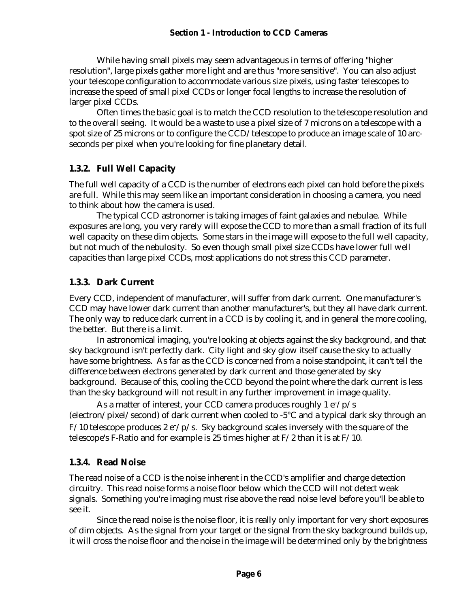While having small pixels may seem advantageous in terms of offering "higher resolution", large pixels gather more light and are thus "more sensitive". You can also adjust your telescope configuration to accommodate various size pixels, using faster telescopes to increase the speed of small pixel CCDs or longer focal lengths to increase the resolution of larger pixel CCDs.

Often times the basic goal is to match the CCD resolution to the telescope resolution and to the overall seeing. It would be a waste to use a pixel size of 7 microns on a telescope with a spot size of 25 microns or to configure the CCD/telescope to produce an image scale of 10 arcseconds per pixel when you're looking for fine planetary detail.

## **1.3.2. Full Well Capacity**

The full well capacity of a CCD is the number of electrons each pixel can hold before the pixels are full. While this may seem like an important consideration in choosing a camera, you need to think about how the camera is used.

The typical CCD astronomer is taking images of faint galaxies and nebulae. While exposures are long, you very rarely will expose the CCD to more than a small fraction of its full well capacity on these dim objects. Some stars in the image will expose to the full well capacity, but not much of the nebulosity. So even though small pixel size CCDs have lower full well capacities than large pixel CCDs, most applications do not stress this CCD parameter.

## **1.3.3. Dark Current**

Every CCD, independent of manufacturer, will suffer from dark current. One manufacturer's CCD may have lower dark current than another manufacturer's, but they all have dark current. The only way to reduce dark current in a CCD is by cooling it, and in general the more cooling, the better. But there is a limit.

In astronomical imaging, you're looking at objects against the sky background, and that sky background isn't perfectly dark. City light and sky glow itself cause the sky to actually have some brightness. As far as the CCD is concerned from a noise standpoint, it can't tell the difference between electrons generated by dark current and those generated by sky background. Because of this, cooling the CCD beyond the point where the dark current is less than the sky background will not result in any further improvement in image quality.

As a matter of interest, your CCD camera produces roughly  $1 e^{-}/p/s$ (electron/pixel/second) of dark current when cooled to -5°C and a typical dark sky through an  $F/10$  telescope produces 2 e<sup>-</sup>/p/s. Sky background scales inversely with the square of the telescope's F-Ratio and for example is 25 times higher at F/2 than it is at F/10.

## **1.3.4. Read Noise**

The read noise of a CCD is the noise inherent in the CCD's amplifier and charge detection circuitry. This read noise forms a noise floor below which the CCD will not detect weak signals. Something you're imaging must rise above the read noise level before you'll be able to see it.

Since the read noise is the noise floor, it is really only important for very short exposures of dim objects. As the signal from your target or the signal from the sky background builds up, it will cross the noise floor and the noise in the image will be determined only by the brightness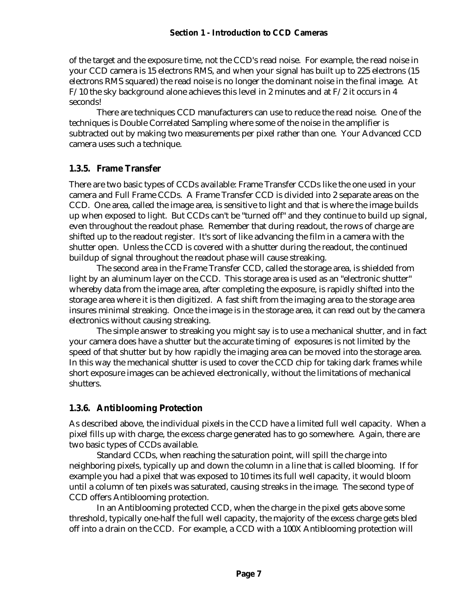of the target and the exposure time, not the CCD's read noise. For example, the read noise in your CCD camera is 15 electrons RMS, and when your signal has built up to 225 electrons (15 electrons RMS squared) the read noise is no longer the dominant noise in the final image. At F/10 the sky background alone achieves this level in 2 minutes and at F/2 it occurs in 4 seconds!

There are techniques CCD manufacturers can use to reduce the read noise. One of the techniques is Double Correlated Sampling where some of the noise in the amplifier is subtracted out by making two measurements per pixel rather than one. Your Advanced CCD camera uses such a technique.

#### **1.3.5. Frame Transfer**

There are two basic types of CCDs available: Frame Transfer CCDs like the one used in your camera and Full Frame CCDs. A Frame Transfer CCD is divided into 2 separate areas on the CCD. One area, called the image area, is sensitive to light and that is where the image builds up when exposed to light. But CCDs can't be "turned off" and they continue to build up signal, even throughout the readout phase. Remember that during readout, the rows of charge are shifted up to the readout register. It's sort of like advancing the film in a camera with the shutter open. Unless the CCD is covered with a shutter during the readout, the continued buildup of signal throughout the readout phase will cause streaking.

The second area in the Frame Transfer CCD, called the storage area, is shielded from light by an aluminum layer on the CCD. This storage area is used as an "electronic shutter" whereby data from the image area, after completing the exposure, is rapidly shifted into the storage area where it is then digitized. A fast shift from the imaging area to the storage area insures minimal streaking. Once the image is in the storage area, it can read out by the camera electronics without causing streaking.

The simple answer to streaking you might say is to use a mechanical shutter, and in fact your camera does have a shutter but the accurate timing of exposures is not limited by the speed of that shutter but by how rapidly the imaging area can be moved into the storage area. In this way the mechanical shutter is used to cover the CCD chip for taking dark frames while short exposure images can be achieved electronically, without the limitations of mechanical shutters.

## **1.3.6. Antiblooming Protection**

As described above, the individual pixels in the CCD have a limited full well capacity. When a pixel fills up with charge, the excess charge generated has to go somewhere. Again, there are two basic types of CCDs available.

Standard CCDs, when reaching the saturation point, will spill the charge into neighboring pixels, typically up and down the column in a line that is called blooming. If for example you had a pixel that was exposed to 10 times its full well capacity, it would bloom until a column of ten pixels was saturated, causing streaks in the image. The second type of CCD offers Antiblooming protection.

In an Antiblooming protected CCD, when the charge in the pixel gets above some threshold, typically one-half the full well capacity, the majority of the excess charge gets bled off into a drain on the CCD. For example, a CCD with a 100X Antiblooming protection will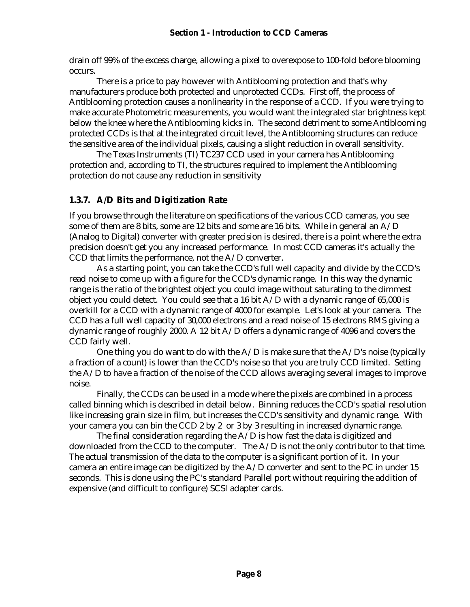drain off 99% of the excess charge, allowing a pixel to overexpose to 100-fold before blooming occurs.

There is a price to pay however with Antiblooming protection and that's why manufacturers produce both protected and unprotected CCDs. First off, the process of Antiblooming protection causes a nonlinearity in the response of a CCD. If you were trying to make accurate Photometric measurements, you would want the integrated star brightness kept below the knee where the Antiblooming kicks in. The second detriment to some Antiblooming protected CCDs is that at the integrated circuit level, the Antiblooming structures can reduce the sensitive area of the individual pixels, causing a slight reduction in overall sensitivity.

The Texas Instruments (TI) TC237 CCD used in your camera has Antiblooming protection and, according to TI, the structures required to implement the Antiblooming protection do not cause any reduction in sensitivity

## **1.3.7. A/D Bits and Digitization Rate**

If you browse through the literature on specifications of the various CCD cameras, you see some of them are 8 bits, some are 12 bits and some are 16 bits. While in general an  $A/D$ (Analog to Digital) converter with greater precision is desired, there is a point where the extra precision doesn't get you any increased performance. In most CCD cameras it's actually the CCD that limits the performance, not the A/D converter.

As a starting point, you can take the CCD's full well capacity and divide by the CCD's read noise to come up with a figure for the CCD's dynamic range. In this way the dynamic range is the ratio of the brightest object you could image without saturating to the dimmest object you could detect. You could see that a 16 bit  $A/D$  with a dynamic range of 65,000 is overkill for a CCD with a dynamic range of 4000 for example. Let's look at your camera. The CCD has a full well capacity of 30,000 electrons and a read noise of 15 electrons RMS giving a dynamic range of roughly 2000. A 12 bit A/D offers a dynamic range of 4096 and covers the CCD fairly well.

One thing you do want to do with the  $A/D$  is make sure that the  $A/D$ 's noise (typically a fraction of a count) is lower than the CCD's noise so that you are truly CCD limited. Setting the A/D to have a fraction of the noise of the CCD allows averaging several images to improve noise.

Finally, the CCDs can be used in a mode where the pixels are combined in a process called binning which is described in detail below. Binning reduces the CCD's spatial resolution like increasing grain size in film, but increases the CCD's sensitivity and dynamic range. With your camera you can bin the CCD 2 by 2 or 3 by 3 resulting in increased dynamic range.

The final consideration regarding the  $A/D$  is how fast the data is digitized and downloaded from the CCD to the computer. The A/D is not the only contributor to that time. The actual transmission of the data to the computer is a significant portion of it. In your camera an entire image can be digitized by the A/D converter and sent to the PC in under 15 seconds. This is done using the PC's standard Parallel port without requiring the addition of expensive (and difficult to configure) SCSI adapter cards.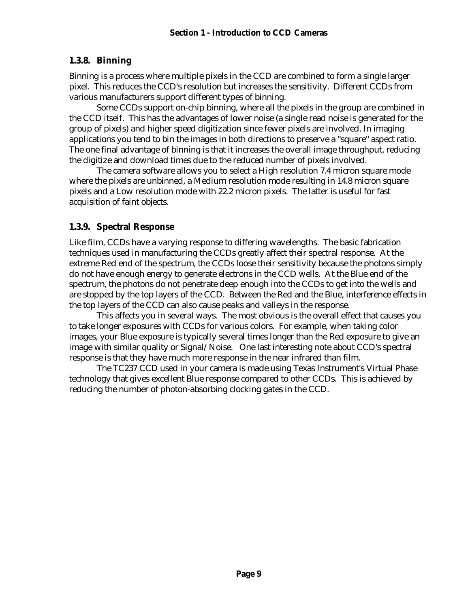## **1.3.8. Binning**

Binning is a process where multiple pixels in the CCD are combined to form a single larger pixel. This reduces the CCD's resolution but increases the sensitivity. Different CCDs from various manufacturers support different types of binning.

Some CCDs support on-chip binning, where all the pixels in the group are combined in the CCD itself. This has the advantages of lower noise (a single read noise is generated for the group of pixels) and higher speed digitization since fewer pixels are involved. In imaging applications you tend to bin the images in both directions to preserve a "square" aspect ratio. The one final advantage of binning is that it increases the overall image throughput, reducing the digitize and download times due to the reduced number of pixels involved.

The camera software allows you to select a High resolution 7.4 micron square mode where the pixels are unbinned, a Medium resolution mode resulting in 14.8 micron square pixels and a Low resolution mode with 22.2 micron pixels. The latter is useful for fast acquisition of faint objects.

## **1.3.9. Spectral Response**

Like film, CCDs have a varying response to differing wavelengths. The basic fabrication techniques used in manufacturing the CCDs greatly affect their spectral response. At the extreme Red end of the spectrum, the CCDs loose their sensitivity because the photons simply do not have enough energy to generate electrons in the CCD wells. At the Blue end of the spectrum, the photons do not penetrate deep enough into the CCDs to get into the wells and are stopped by the top layers of the CCD. Between the Red and the Blue, interference effects in the top layers of the CCD can also cause peaks and valleys in the response.

This affects you in several ways. The most obvious is the overall effect that causes you to take longer exposures with CCDs for various colors. For example, when taking color images, your Blue exposure is typically several times longer than the Red exposure to give an image with similar quality or Signal/Noise. One last interesting note about CCD's spectral response is that they have much more response in the near infrared than film.

The TC237 CCD used in your camera is made using Texas Instrument's Virtual Phase technology that gives excellent Blue response compared to other CCDs. This is achieved by reducing the number of photon-absorbing clocking gates in the CCD.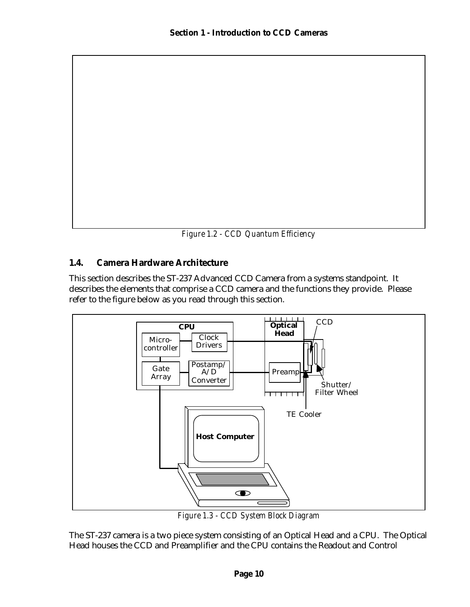*Figure 1.2 - CCD Quantum Efficiency*

## **1.4. Camera Hardware Architecture**

This section describes the ST-237 Advanced CCD Camera from a systems standpoint. It describes the elements that comprise a CCD camera and the functions they provide. Please refer to the figure below as you read through this section.



*Figure 1.3 - CCD System Block Diagram*

The ST-237 camera is a two piece system consisting of an Optical Head and a CPU. The Optical Head houses the CCD and Preamplifier and the CPU contains the Readout and Control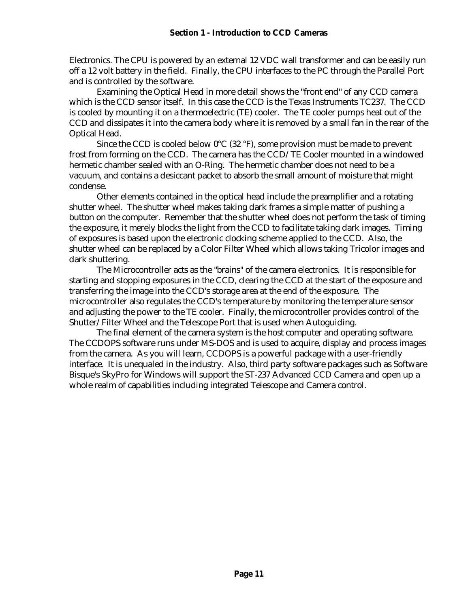Electronics. The CPU is powered by an external 12 VDC wall transformer and can be easily run off a 12 volt battery in the field. Finally, the CPU interfaces to the PC through the Parallel Port and is controlled by the software.

Examining the Optical Head in more detail shows the "front end" of any CCD camera which is the CCD sensor itself. In this case the CCD is the Texas Instruments TC237. The CCD is cooled by mounting it on a thermoelectric (TE) cooler. The TE cooler pumps heat out of the CCD and dissipates it into the camera body where it is removed by a small fan in the rear of the Optical Head.

Since the CCD is cooled below  $0^{\circ}C$  (32 °F), some provision must be made to prevent frost from forming on the CCD. The camera has the CCD/TE Cooler mounted in a windowed hermetic chamber sealed with an O-Ring. The hermetic chamber does not need to be a vacuum, and contains a desiccant packet to absorb the small amount of moisture that might condense.

Other elements contained in the optical head include the preamplifier and a rotating shutter wheel. The shutter wheel makes taking dark frames a simple matter of pushing a button on the computer. Remember that the shutter wheel does not perform the task of timing the exposure, it merely blocks the light from the CCD to facilitate taking dark images. Timing of exposures is based upon the electronic clocking scheme applied to the CCD. Also, the shutter wheel can be replaced by a Color Filter Wheel which allows taking Tricolor images and dark shuttering.

The Microcontroller acts as the "brains" of the camera electronics. It is responsible for starting and stopping exposures in the CCD, clearing the CCD at the start of the exposure and transferring the image into the CCD's storage area at the end of the exposure. The microcontroller also regulates the CCD's temperature by monitoring the temperature sensor and adjusting the power to the TE cooler. Finally, the microcontroller provides control of the Shutter/Filter Wheel and the Telescope Port that is used when Autoguiding.

The final element of the camera system is the host computer and operating software. The CCDOPS software runs under MS-DOS and is used to acquire, display and process images from the camera. As you will learn, CCDOPS is a powerful package with a user-friendly interface. It is unequaled in the industry. Also, third party software packages such as Software Bisque's SkyPro for Windows will support the ST-237 Advanced CCD Camera and open up a whole realm of capabilities including integrated Telescope and Camera control.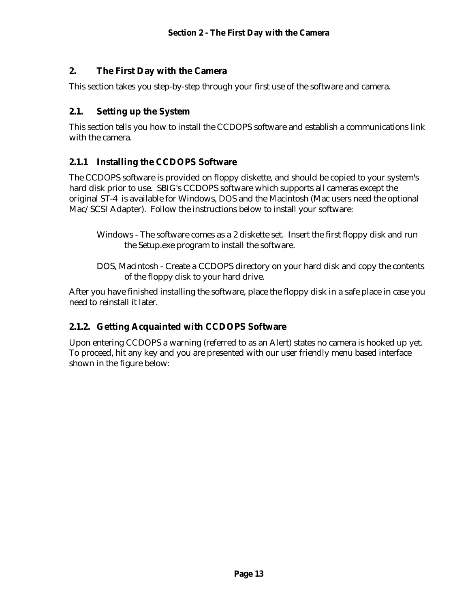# **2. The First Day with the Camera**

This section takes you step-by-step through your first use of the software and camera.

## **2.1. Setting up the System**

This section tells you how to install the CCDOPS software and establish a communications link with the camera.

## **2.1.1 Installing the CCDOPS Software**

The CCDOPS software is provided on floppy diskette, and should be copied to your system's hard disk prior to use. SBIG's CCDOPS software which supports all cameras except the original ST-4 is available for Windows, DOS and the Macintosh (Mac users need the optional Mac/SCSI Adapter). Follow the instructions below to install your software:

- Windows The software comes as a 2 diskette set. Insert the first floppy disk and run the Setup.exe program to install the software.
- DOS, Macintosh Create a CCDOPS directory on your hard disk and copy the contents of the floppy disk to your hard drive.

After you have finished installing the software, place the floppy disk in a safe place in case you need to reinstall it later.

# **2.1.2. Getting Acquainted with CCDOPS Software**

Upon entering CCDOPS a warning (referred to as an Alert) states no camera is hooked up yet. To proceed, hit any key and you are presented with our user friendly menu based interface shown in the figure below: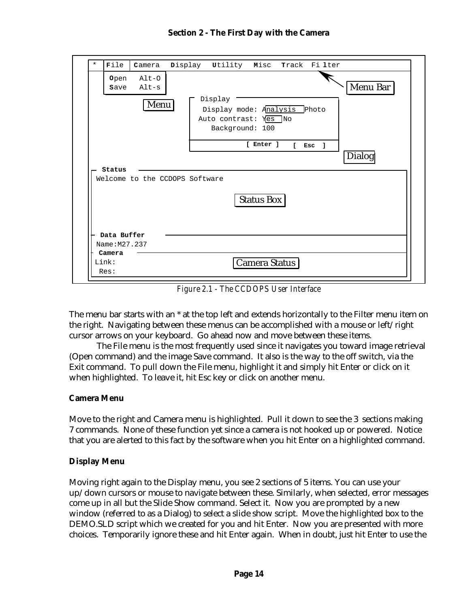| $\star$                        | File                         | Camera             | Display Utility Misc<br>Track Filter                                                   |
|--------------------------------|------------------------------|--------------------|----------------------------------------------------------------------------------------|
|                                | <b>Open</b><br><b>Save</b>   | $Alt-O$<br>$Alt-s$ | Menu Bar                                                                               |
|                                |                              | Menu               | Display<br>Display mode: Analysis<br>Photo<br>Auto contrast: Yes No<br>Background: 100 |
|                                |                              |                    | [ Enter ]<br>$\mathbf{L}$<br>Esc<br>-1<br>Dialog                                       |
|                                | Status                       |                    |                                                                                        |
| Welcome to the CCDOPS Software |                              |                    |                                                                                        |
|                                |                              |                    | <b>Status Box</b>                                                                      |
|                                | Data Buffer<br>Name: M27.237 |                    |                                                                                        |
|                                | Camera<br>Link:              |                    | Camera Status                                                                          |

*Figure 2.1 - The CCDOPS User Interface*

The menu bar starts with an \* at the top left and extends horizontally to the Filter menu item on the right. Navigating between these menus can be accomplished with a mouse or left/right cursor arrows on your keyboard. Go ahead now and move between these items.

The File menu is the most frequently used since it navigates you toward image retrieval (Open command) and the image Save command. It also is the way to the off switch, via the Exit command. To pull down the File menu, highlight it and simply hit Enter or click on it when highlighted. To leave it, hit Esc key or click on another menu.

#### **Camera Menu**

Move to the right and Camera menu is highlighted. Pull it down to see the 3 sections making 7 commands. None of these function yet since a camera is not hooked up or powered. Notice that you are alerted to this fact by the software when you hit Enter on a highlighted command.

#### **Display Menu**

Moving right again to the Display menu, you see 2 sections of 5 items. You can use your up/down cursors or mouse to navigate between these. Similarly, when selected, error messages come up in all but the Slide Show command. Select it. Now you are prompted by a new window (referred to as a Dialog) to select a slide show script. Move the highlighted box to the DEMO.SLD script which we created for you and hit Enter. Now you are presented with more choices. Temporarily ignore these and hit Enter again. When in doubt, just hit Enter to use the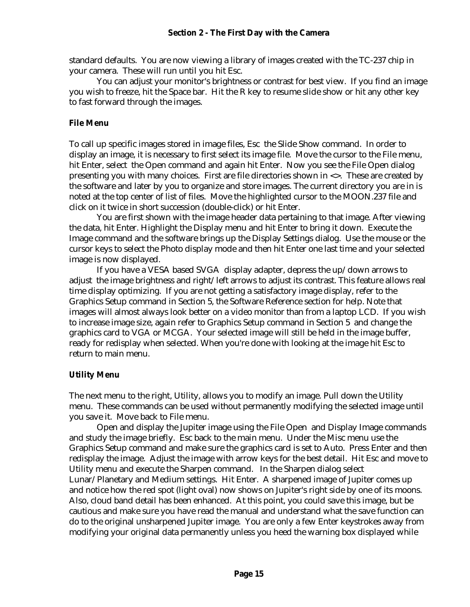standard defaults. You are now viewing a library of images created with the TC-237 chip in your camera. These will run until you hit Esc.

You can adjust your monitor's brightness or contrast for best view. If you find an image you wish to freeze, hit the Space bar. Hit the R key to resume slide show or hit any other key to fast forward through the images.

#### **File Menu**

To call up specific images stored in image files, Esc the Slide Show command. In order to display an image, it is necessary to first select its image file. Move the cursor to the File menu, hit Enter, select the Open command and again hit Enter. Now you see the File Open dialog presenting you with many choices. First are file directories shown in <>. These are created by the software and later by you to organize and store images. The current directory you are in is noted at the top center of list of files. Move the highlighted cursor to the MOON.237 file and click on it twice in short succession (double-click) or hit Enter.

You are first shown with the image header data pertaining to that image. After viewing the data, hit Enter. Highlight the Display menu and hit Enter to bring it down. Execute the Image command and the software brings up the Display Settings dialog. Use the mouse or the cursor keys to select the Photo display mode and then hit Enter one last time and your selected image is now displayed.

If you have a VESA based SVGA display adapter, depress the up/down arrows to adjust the image brightness and right/left arrows to adjust its contrast. This feature allows real time display optimizing. If you are not getting a satisfactory image display, refer to the Graphics Setup command in Section 5, the Software Reference section for help. Note that images will almost always look better on a video monitor than from a laptop LCD. If you wish to increase image size, again refer to Graphics Setup command in Section 5 and change the graphics card to VGA or MCGA. Your selected image will still be held in the image buffer, ready for redisplay when selected. When you're done with looking at the image hit Esc to return to main menu.

#### **Utility Menu**

The next menu to the right, Utility, allows you to modify an image. Pull down the Utility menu. These commands can be used without permanently modifying the selected image until you save it. Move back to File menu.

Open and display the Jupiter image using the File Open and Display Image commands and study the image briefly. Esc back to the main menu. Under the Misc menu use the Graphics Setup command and make sure the graphics card is set to Auto. Press Enter and then redisplay the image. Adjust the image with arrow keys for the best detail. Hit Esc and move to Utility menu and execute the Sharpen command. In the Sharpen dialog select Lunar/Planetary and Medium settings. Hit Enter. A sharpened image of Jupiter comes up and notice how the red spot (light oval) now shows on Jupiter's right side by one of its moons. Also, cloud band detail has been enhanced. At this point, you could save this image, but be cautious and make sure you have read the manual and understand what the save function can do to the original unsharpened Jupiter image. You are only a few Enter keystrokes away from modifying your original data permanently unless you heed the warning box displayed while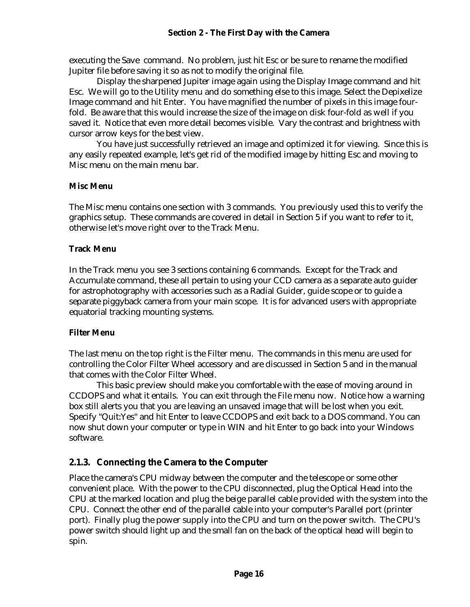executing the Save command. No problem, just hit Esc or be sure to rename the modified Jupiter file before saving it so as not to modify the original file.

Display the sharpened Jupiter image again using the Display Image command and hit Esc. We will go to the Utility menu and do something else to this image. Select the Depixelize Image command and hit Enter. You have magnified the number of pixels in this image fourfold. Be aware that this would increase the size of the image on disk four-fold as well if you saved it. Notice that even more detail becomes visible. Vary the contrast and brightness with cursor arrow keys for the best view.

You have just successfully retrieved an image and optimized it for viewing. Since this is any easily repeated example, let's get rid of the modified image by hitting Esc and moving to Misc menu on the main menu bar.

#### **Misc Menu**

The Misc menu contains one section with 3 commands. You previously used this to verify the graphics setup. These commands are covered in detail in Section 5 if you want to refer to it, otherwise let's move right over to the Track Menu.

#### **Track Menu**

In the Track menu you see 3 sections containing 6 commands. Except for the Track and Accumulate command, these all pertain to using your CCD camera as a separate auto guider for astrophotography with accessories such as a Radial Guider, guide scope or to guide a separate piggyback camera from your main scope. It is for advanced users with appropriate equatorial tracking mounting systems.

#### **Filter Menu**

The last menu on the top right is the Filter menu. The commands in this menu are used for controlling the Color Filter Wheel accessory and are discussed in Section 5 and in the manual that comes with the Color Filter Wheel.

This basic preview should make you comfortable with the ease of moving around in CCDOPS and what it entails. You can exit through the File menu now. Notice how a warning box still alerts you that you are leaving an unsaved image that will be lost when you exit. Specify "Quit:Yes" and hit Enter to leave CCDOPS and exit back to a DOS command. You can now shut down your computer or type in WIN and hit Enter to go back into your Windows software.

## **2.1.3. Connecting the Camera to the Computer**

Place the camera's CPU midway between the computer and the telescope or some other convenient place. With the power to the CPU disconnected, plug the Optical Head into the CPU at the marked location and plug the beige parallel cable provided with the system into the CPU. Connect the other end of the parallel cable into your computer's Parallel port (printer port). Finally plug the power supply into the CPU and turn on the power switch. The CPU's power switch should light up and the small fan on the back of the optical head will begin to spin.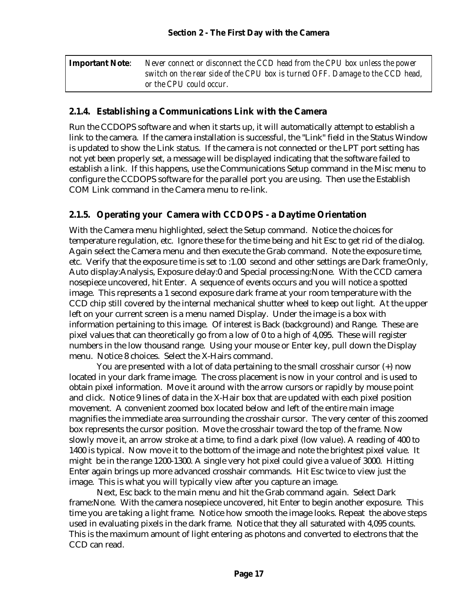| <b>Important Note:</b> | Never connect or disconnect the CCD head from the CPU box unless the power    |
|------------------------|-------------------------------------------------------------------------------|
|                        | switch on the rear side of the CPU box is turned OFF. Damage to the CCD head, |
|                        | or the CPU could occur.                                                       |

#### **2.1.4. Establishing a Communications Link with the Camera**

Run the CCDOPS software and when it starts up, it will automatically attempt to establish a link to the camera. If the camera installation is successful, the "Link" field in the Status Window is updated to show the Link status. If the camera is not connected or the LPT port setting has not yet been properly set, a message will be displayed indicating that the software failed to establish a link. If this happens, use the Communications Setup command in the Misc menu to configure the CCDOPS software for the parallel port you are using. Then use the Establish COM Link command in the Camera menu to re-link.

## **2.1.5. Operating your Camera with CCDOPS - a Daytime Orientation**

With the Camera menu highlighted, select the Setup command. Notice the choices for temperature regulation, etc. Ignore these for the time being and hit Esc to get rid of the dialog. Again select the Camera menu and then execute the Grab command. Note the exposure time, etc. Verify that the exposure time is set to :1.00 second and other settings are Dark frame:Only, Auto display:Analysis, Exposure delay:0 and Special processing:None. With the CCD camera nosepiece uncovered, hit Enter. A sequence of events occurs and you will notice a spotted image. This represents a 1 second exposure dark frame at your room temperature with the CCD chip still covered by the internal mechanical shutter wheel to keep out light. At the upper left on your current screen is a menu named Display. Under the image is a box with information pertaining to this image. Of interest is Back (background) and Range. These are pixel values that can theoretically go from a low of 0 to a high of 4,095. These will register numbers in the low thousand range. Using your mouse or Enter key, pull down the Display menu. Notice 8 choices. Select the X-Hairs command.

You are presented with a lot of data pertaining to the small crosshair cursor (+) now located in your dark frame image. The cross placement is now in your control and is used to obtain pixel information. Move it around with the arrow cursors or rapidly by mouse point and click. Notice 9 lines of data in the X-Hair box that are updated with each pixel position movement. A convenient zoomed box located below and left of the entire main image magnifies the immediate area surrounding the crosshair cursor. The very center of this zoomed box represents the cursor position. Move the crosshair toward the top of the frame. Now slowly move it, an arrow stroke at a time, to find a dark pixel (low value). A reading of 400 to 1400 is typical. Now move it to the bottom of the image and note the brightest pixel value. It might be in the range 1200-1300. A single very hot pixel could give a value of 3000. Hitting Enter again brings up more advanced crosshair commands. Hit Esc twice to view just the image. This is what you will typically view after you capture an image.

Next, Esc back to the main menu and hit the Grab command again. Select Dark frame:None. With the camera nosepiece uncovered, hit Enter to begin another exposure. This time you are taking a light frame. Notice how smooth the image looks. Repeat the above steps used in evaluating pixels in the dark frame. Notice that they all saturated with 4,095 counts. This is the maximum amount of light entering as photons and converted to electrons that the CCD can read.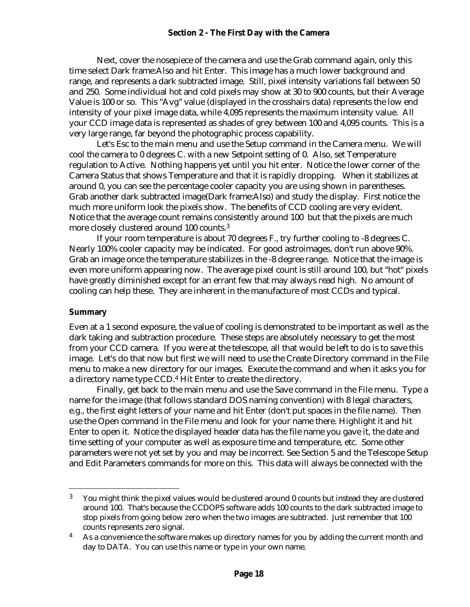#### **Section 2 - The First Day with the Camera**

Next, cover the nosepiece of the camera and use the Grab command again, only this time select Dark frame:Also and hit Enter. This image has a much lower background and range, and represents a dark subtracted image. Still, pixel intensity variations fall between 50 and 250. Some individual hot and cold pixels may show at 30 to 900 counts, but their Average Value is 100 or so. This "Avg" value (displayed in the crosshairs data) represents the low end intensity of your pixel image data, while 4,095 represents the maximum intensity value. All your CCD image data is represented as shades of grey between 100 and 4,095 counts. This is a very large range, far beyond the photographic process capability.

Let's Esc to the main menu and use the Setup command in the Camera menu. We will cool the camera to 0 degrees C. with a new Setpoint setting of 0. Also, set Temperature regulation to Active. Nothing happens yet until you hit enter. Notice the lower corner of the Camera Status that shows Temperature and that it is rapidly dropping. When it stabilizes at around 0, you can see the percentage cooler capacity you are using shown in parentheses. Grab another dark subtracted image(Dark frame:Also) and study the display. First notice the much more uniform look the pixels show. The benefits of CCD cooling are very evident. Notice that the average count remains consistently around 100 but that the pixels are much more closely clustered around 100 counts.<sup>3</sup>

If your room temperature is about 70 degrees F., try further cooling to -8 degrees C. Nearly 100% cooler capacity may be indicated. For good astroimages, don't run above 90%. Grab an image once the temperature stabilizes in the -8 degree range. Notice that the image is even more uniform appearing now. The average pixel count is still around 100, but "hot" pixels have greatly diminished except for an errant few that may always read high. No amount of cooling can help these. They are inherent in the manufacture of most CCDs and typical.

#### **Summary**

 $\overline{a}$ 

Even at a 1 second exposure, the value of cooling is demonstrated to be important as well as the dark taking and subtraction procedure. These steps are absolutely necessary to get the most from your CCD camera. If you were at the telescope, all that would be left to do is to save this image. Let's do that now but first we will need to use the Create Directory command in the File menu to make a new directory for our images. Execute the command and when it asks you for a directory name type CCD.<sup>4</sup> Hit Enter to create the directory.

Finally, get back to the main menu and use the Save command in the File menu. Type a name for the image (that follows standard DOS naming convention) with 8 legal characters, e.g., the first eight letters of your name and hit Enter (don't put spaces in the file name). Then use the Open command in the File menu and look for your name there. Highlight it and hit Enter to open it. Notice the displayed header data has the file name you gave it, the date and time setting of your computer as well as exposure time and temperature, etc. Some other parameters were not yet set by you and may be incorrect. See Section 5 and the Telescope Setup and Edit Parameters commands for more on this. This data will always be connected with the

<sup>&</sup>lt;sup>3</sup> You might think the pixel values would be clustered around 0 counts but instead they are clustered around 100. That's because the CCDOPS software adds 100 counts to the dark subtracted image to stop pixels from going below zero when the two images are subtracted. Just remember that 100 counts represents zero signal.

 $4$  As a convenience the software makes up directory names for you by adding the current month and day to DATA. You can use this name or type in your own name.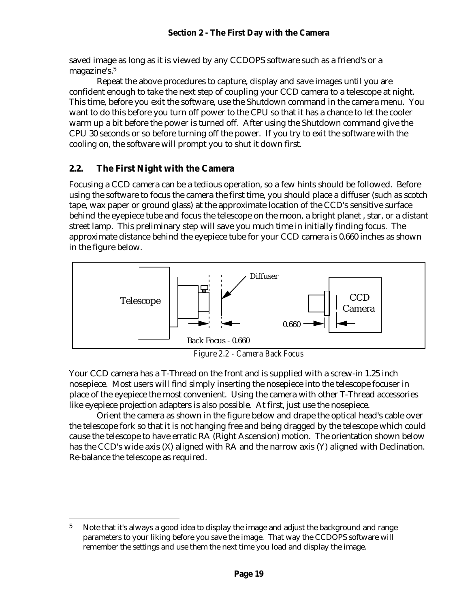saved image as long as it is viewed by any CCDOPS software such as a friend's or a magazine's.<sup>5</sup>

Repeat the above procedures to capture, display and save images until you are confident enough to take the next step of coupling your CCD camera to a telescope at night. This time, before you exit the software, use the Shutdown command in the camera menu. You want to do this before you turn off power to the CPU so that it has a chance to let the cooler warm up a bit before the power is turned off. After using the Shutdown command give the CPU 30 seconds or so before turning off the power. If you try to exit the software with the cooling on, the software will prompt you to shut it down first.

## **2.2. The First Night with the Camera**

 $\overline{a}$ 

Focusing a CCD camera can be a tedious operation, so a few hints should be followed. Before using the software to focus the camera the first time, you should place a diffuser (such as scotch tape, wax paper or ground glass) at the approximate location of the CCD's sensitive surface behind the eyepiece tube and focus the telescope on the moon, a bright planet , star, or a distant street lamp. This preliminary step will save you much time in initially finding focus. The approximate distance behind the eyepiece tube for your CCD camera is 0.660 inches as shown in the figure below.



*Figure 2.2 - Camera Back Focus*

Your CCD camera has a T-Thread on the front and is supplied with a screw-in 1.25 inch nosepiece. Most users will find simply inserting the nosepiece into the telescope focuser in place of the eyepiece the most convenient. Using the camera with other T-Thread accessories like eyepiece projection adapters is also possible. At first, just use the nosepiece.

Orient the camera as shown in the figure below and drape the optical head's cable over the telescope fork so that it is not hanging free and being dragged by the telescope which could cause the telescope to have erratic RA (Right Ascension) motion. The orientation shown below has the CCD's wide axis (X) aligned with RA and the narrow axis (Y) aligned with Declination. Re-balance the telescope as required.

 $5$  Note that it's always a good idea to display the image and adjust the background and range parameters to your liking before you save the image. That way the CCDOPS software will remember the settings and use them the next time you load and display the image.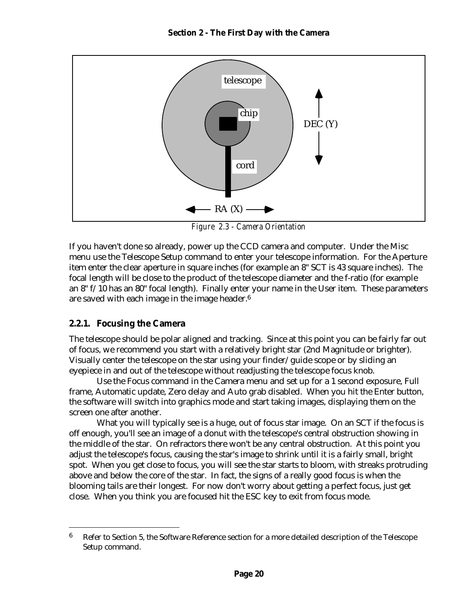

*Figure 2.3 - Camera Orientation*

If you haven't done so already, power up the CCD camera and computer. Under the Misc menu use the Telescope Setup command to enter your telescope information. For the Aperture item enter the clear aperture in square inches (for example an 8" SCT is 43 square inches). The focal length will be close to the product of the telescope diameter and the f-ratio (for example an 8" f/10 has an 80" focal length). Finally enter your name in the User item. These parameters are saved with each image in the image header.<sup>6</sup>

#### **2.2.1. Focusing the Camera**

 $\overline{a}$ 

The telescope should be polar aligned and tracking. Since at this point you can be fairly far out of focus, we recommend you start with a relatively bright star (2nd Magnitude or brighter). Visually center the telescope on the star using your finder/guide scope or by sliding an eyepiece in and out of the telescope without readjusting the telescope focus knob.

Use the Focus command in the Camera menu and set up for a 1 second exposure, Full frame, Automatic update, Zero delay and Auto grab disabled. When you hit the Enter button, the software will switch into graphics mode and start taking images, displaying them on the screen one after another.

What you will typically see is a huge, out of focus star image. On an SCT if the focus is off enough, you'll see an image of a donut with the telescope's central obstruction showing in the middle of the star. On refractors there won't be any central obstruction. At this point you adjust the telescope's focus, causing the star's image to shrink until it is a fairly small, bright spot. When you get close to focus, you will see the star starts to bloom, with streaks protruding above and below the core of the star. In fact, the signs of a really good focus is when the blooming tails are their longest. For now don't worry about getting a perfect focus, just get close. When you think you are focused hit the ESC key to exit from focus mode.

 $6$  Refer to Section 5, the Software Reference section for a more detailed description of the Telescope Setup command.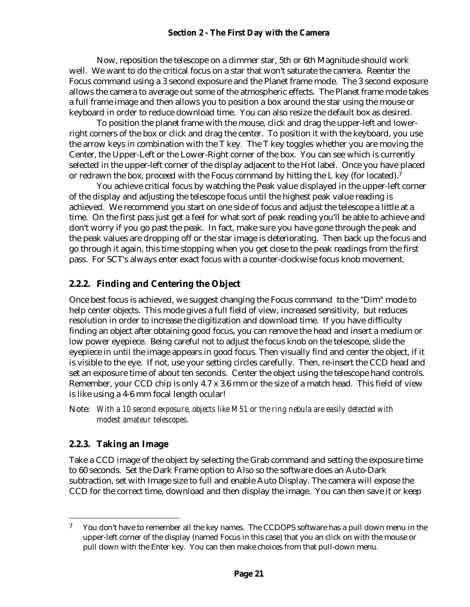#### **Section 2 - The First Day with the Camera**

Now, reposition the telescope on a dimmer star, 5th or 6th Magnitude should work well. We want to do the critical focus on a star that won't saturate the camera. Reenter the Focus command using a 3 second exposure and the Planet frame mode. The 3 second exposure allows the camera to average out some of the atmospheric effects. The Planet frame mode takes a full frame image and then allows you to position a box around the star using the mouse or keyboard in order to reduce download time. You can also resize the default box as desired.

To position the planet frame with the mouse, click and drag the upper-left and lowerright corners of the box or click and drag the center. To position it with the keyboard, you use the arrow keys in combination with the T key. The T key toggles whether you are moving the Center, the Upper-Left or the Lower-Right corner of the box. You can see which is currently selected in the upper-left corner of the display adjacent to the Hot label. Once you have placed or redrawn the box, proceed with the Focus command by hitting the L key (for located).<sup>7</sup>

You achieve critical focus by watching the Peak value displayed in the upper-left corner of the display and adjusting the telescope focus until the highest peak value reading is achieved. We recommend you start on one side of focus and adjust the telescope a little at a time. On the first pass just get a feel for what sort of peak reading you'll be able to achieve and don't worry if you go past the peak. In fact, make sure you have gone through the peak and the peak values are dropping off or the star image is deteriorating. Then back up the focus and go through it again, this time stopping when you get close to the peak readings from the first pass. For SCT's always enter exact focus with a counter-clockwise focus knob movement.

#### **2.2.2. Finding and Centering the Object**

Once best focus is achieved, we suggest changing the Focus command to the "Dim" mode to help center objects. This mode gives a full field of view, increased sensitivity, but reduces resolution in order to increase the digitization and download time. If you have difficulty finding an object after obtaining good focus, you can remove the head and insert a medium or low power eyepiece. Being careful not to adjust the focus knob on the telescope, slide the eyepiece in until the image appears in good focus. Then visually find and center the object, if it is visible to the eye. If not, use your setting circles carefully. Then, re-insert the CCD head and set an exposure time of about ten seconds. Center the object using the telescope hand controls. Remember, your CCD chip is only 4.7 x 3.6 mm or the size of a match head. This field of view is like using a 4-6 mm focal length ocular!

Note: *With a 10 second exposure, objects like M51 or the ring nebula are easily detected with modest amateur telescopes.*

## **2.2.3. Taking an Image**

<u>.</u>

Take a CCD image of the object by selecting the Grab command and setting the exposure time to 60 seconds. Set the Dark Frame option to Also so the software does an Auto-Dark subtraction, set with Image size to full and enable Auto Display. The camera will expose the CCD for the correct time, download and then display the image. You can then save it or keep

 $7$  You don't have to remember all the key names. The CCDOPS software has a pull down menu in the upper-left corner of the display (named Focus in this case) that you an click on with the mouse or pull down with the Enter key. You can then make choices from that pull-down menu.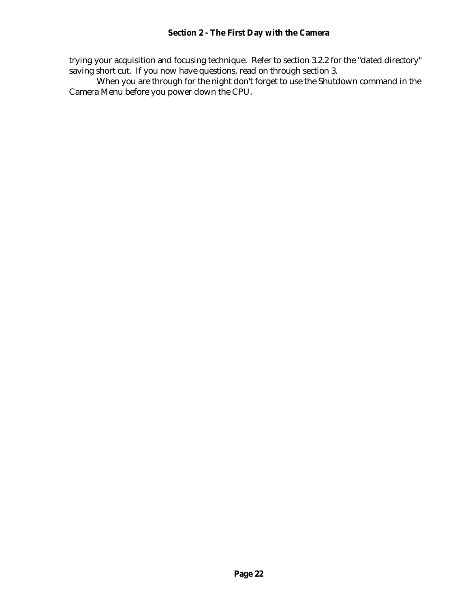trying your acquisition and focusing technique. Refer to section 3.2.2 for the "dated directory" saving short cut. If you now have questions, read on through section 3.

When you are through for the night don't forget to use the Shutdown command in the Camera Menu before you power down the CPU.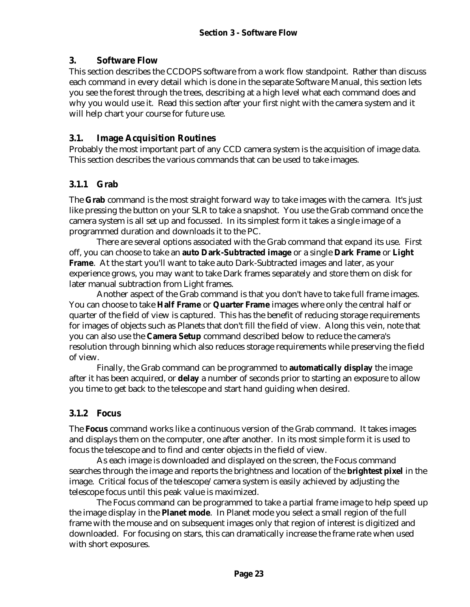## **3. Software Flow**

This section describes the CCDOPS software from a work flow standpoint. Rather than discuss each command in every detail which is done in the separate Software Manual, this section lets you see the forest through the trees, describing at a high level what each command does and why you would use it. Read this section after your first night with the camera system and it will help chart your course for future use.

## **3.1. Image Acquisition Routines**

Probably the most important part of any CCD camera system is the acquisition of image data. This section describes the various commands that can be used to take images.

# **3.1.1 Grab**

The **Grab** command is the most straight forward way to take images with the camera. It's just like pressing the button on your SLR to take a snapshot. You use the Grab command once the camera system is all set up and focussed. In its simplest form it takes a single image of a programmed duration and downloads it to the PC.

There are several options associated with the Grab command that expand its use. First off, you can choose to take an **auto Dark-Subtracted image** or a single **Dark Frame** or **Light Frame**. At the start you'll want to take auto Dark-Subtracted images and later, as your experience grows, you may want to take Dark frames separately and store them on disk for later manual subtraction from Light frames.

Another aspect of the Grab command is that you don't have to take full frame images. You can choose to take **Half Frame** or **Quarter Frame** images where only the central half or quarter of the field of view is captured. This has the benefit of reducing storage requirements for images of objects such as Planets that don't fill the field of view. Along this vein, note that you can also use the **Camera Setup** command described below to reduce the camera's resolution through binning which also reduces storage requirements while preserving the field of view.

Finally, the Grab command can be programmed to **automatically display** the image after it has been acquired, or **delay** a number of seconds prior to starting an exposure to allow you time to get back to the telescope and start hand guiding when desired.

# **3.1.2 Focus**

The **Focus** command works like a continuous version of the Grab command. It takes images and displays them on the computer, one after another. In its most simple form it is used to focus the telescope and to find and center objects in the field of view.

As each image is downloaded and displayed on the screen, the Focus command searches through the image and reports the brightness and location of the **brightest pixel** in the image. Critical focus of the telescope/camera system is easily achieved by adjusting the telescope focus until this peak value is maximized.

The Focus command can be programmed to take a partial frame image to help speed up the image display in the **Planet mode**. In Planet mode you select a small region of the full frame with the mouse and on subsequent images only that region of interest is digitized and downloaded. For focusing on stars, this can dramatically increase the frame rate when used with short exposures.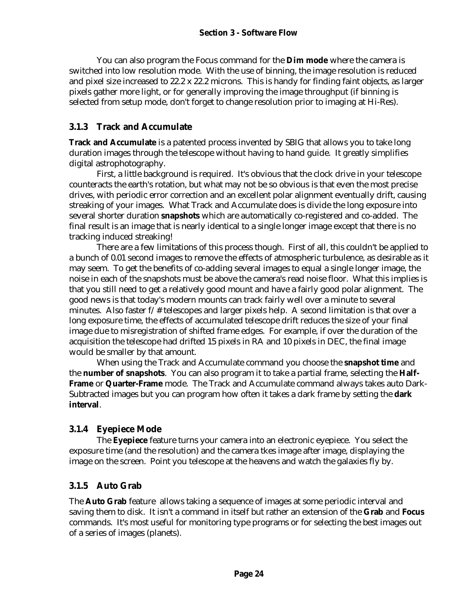You can also program the Focus command for the **Dim mode** where the camera is switched into low resolution mode. With the use of binning, the image resolution is reduced and pixel size increased to 22.2 x 22.2 microns. This is handy for finding faint objects, as larger pixels gather more light, or for generally improving the image throughput (if binning is selected from setup mode, don't forget to change resolution prior to imaging at Hi-Res).

## **3.1.3 Track and Accumulate**

**Track and Accumulate** is a patented process invented by SBIG that allows you to take long duration images through the telescope without having to hand guide. It greatly simplifies digital astrophotography.

First, a little background is required. It's obvious that the clock drive in your telescope counteracts the earth's rotation, but what may not be so obvious is that even the most precise drives, with periodic error correction and an excellent polar alignment eventually drift, causing streaking of your images. What Track and Accumulate does is divide the long exposure into several shorter duration **snapshots** which are automatically co-registered and co-added. The final result is an image that is nearly identical to a single longer image except that there is no tracking induced streaking!

There are a few limitations of this process though. First of all, this couldn't be applied to a bunch of 0.01 second images to remove the effects of atmospheric turbulence, as desirable as it may seem. To get the benefits of co-adding several images to equal a single longer image, the noise in each of the snapshots must be above the camera's read noise floor. What this implies is that you still need to get a relatively good mount and have a fairly good polar alignment. The good news is that today's modern mounts can track fairly well over a minute to several minutes. Also faster f/# telescopes and larger pixels help. A second limitation is that over a long exposure time, the effects of accumulated telescope drift reduces the size of your final image due to misregistration of shifted frame edges. For example, if over the duration of the acquisition the telescope had drifted 15 pixels in RA and 10 pixels in DEC, the final image would be smaller by that amount.

When using the Track and Accumulate command you choose the **snapshot time** and the **number of snapshots**. You can also program it to take a partial frame, selecting the **Half-Frame** or **Quarter-Frame** mode. The Track and Accumulate command always takes auto Dark-Subtracted images but you can program how often it takes a dark frame by setting the **dark interval**.

# **3.1.4 Eyepiece Mode**

The **Eyepiece** feature turns your camera into an electronic eyepiece. You select the exposure time (and the resolution) and the camera tkes image after image, displaying the image on the screen. Point you telescope at the heavens and watch the galaxies fly by.

# **3.1.5 Auto Grab**

The **Auto Grab** feature allows taking a sequence of images at some periodic interval and saving them to disk. It isn't a command in itself but rather an extension of the **Grab** and **Focus** commands. It's most useful for monitoring type programs or for selecting the best images out of a series of images (planets).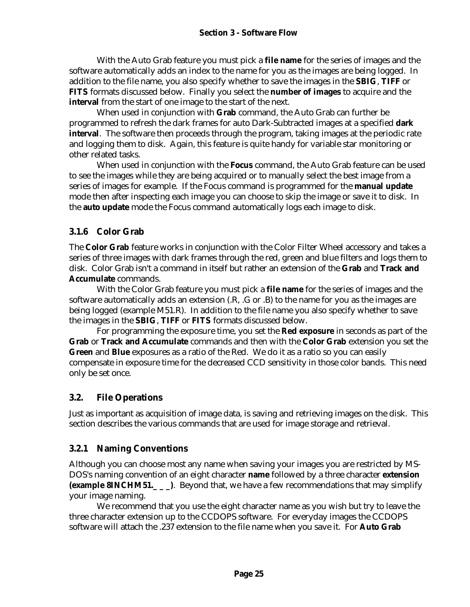With the Auto Grab feature you must pick a **file name** for the series of images and the software automatically adds an index to the name for you as the images are being logged. In addition to the file name, you also specify whether to save the images in the **SBIG**, **TIFF** or **FITS** formats discussed below. Finally you select the **number of images** to acquire and the **interval** from the start of one image to the start of the next.

When used in conjunction with **Grab** command, the Auto Grab can further be programmed to refresh the dark frames for auto Dark-Subtracted images at a specified **dark interval**. The software then proceeds through the program, taking images at the periodic rate and logging them to disk. Again, this feature is quite handy for variable star monitoring or other related tasks.

When used in conjunction with the **Focus** command, the Auto Grab feature can be used to see the images while they are being acquired or to manually select the best image from a series of images for example. If the Focus command is programmed for the **manual update** mode then after inspecting each image you can choose to skip the image or save it to disk. In the **auto update** mode the Focus command automatically logs each image to disk.

## **3.1.6 Color Grab**

The **Color Grab** feature works in conjunction with the Color Filter Wheel accessory and takes a series of three images with dark frames through the red, green and blue filters and logs them to disk. Color Grab isn't a command in itself but rather an extension of the **Grab** and **Track and Accumulate** commands.

With the Color Grab feature you must pick a **file name** for the series of images and the software automatically adds an extension (.R, .G or .B) to the name for you as the images are being logged (example M51.R). In addition to the file name you also specify whether to save the images in the **SBIG**, **TIFF** or **FITS** formats discussed below.

For programming the exposure time, you set the **Red exposure** in seconds as part of the **Grab** or **Track and Accumulate** commands and then with the **Color Grab** extension you set the **Green** and **Blue** exposures as a ratio of the Red. We do it as a ratio so you can easily compensate in exposure time for the decreased CCD sensitivity in those color bands. This need only be set once.

## **3.2. File Operations**

Just as important as acquisition of image data, is saving and retrieving images on the disk. This section describes the various commands that are used for image storage and retrieval.

# **3.2.1 Naming Conventions**

Although you can choose most any name when saving your images you are restricted by MS-DOS's naming convention of an eight character **name** followed by a three character **extension (example 8INCHM51.** ). Beyond that, we have a few recommendations that may simplify your image naming.

We recommend that you use the eight character name as you wish but try to leave the three character extension up to the CCDOPS software. For everyday images the CCDOPS software will attach the .237 extension to the file name when you save it. For **Auto Grab**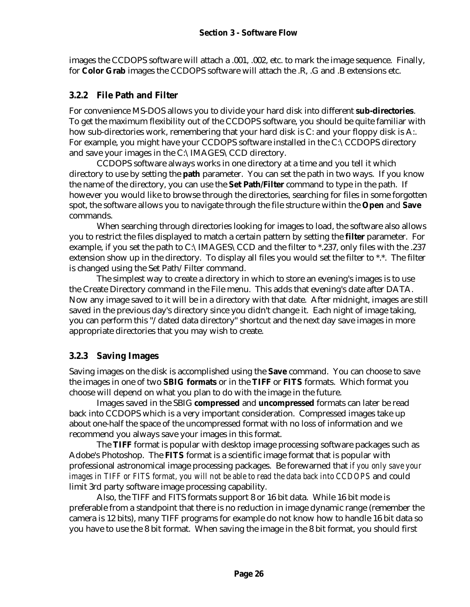images the CCDOPS software will attach a .001, .002, etc. to mark the image sequence. Finally, for **Color Grab** images the CCDOPS software will attach the .R, .G and .B extensions etc.

# **3.2.2 File Path and Filter**

For convenience MS-DOS allows you to divide your hard disk into different **sub-directories**. To get the maximum flexibility out of the CCDOPS software, you should be quite familiar with how sub-directories work, remembering that your hard disk is C: and your floppy disk is A:. For example, you might have your CCDOPS software installed in the C:\CCDOPS directory and save your images in the C:\IMAGES\CCD directory.

CCDOPS software always works in one directory at a time and you tell it which directory to use by setting the **path** parameter. You can set the path in two ways. If you know the name of the directory, you can use the **Set Path/Filter** command to type in the path. If however you would like to browse through the directories, searching for files in some forgotten spot, the software allows you to navigate through the file structure within the **Open** and **Save** commands.

When searching through directories looking for images to load, the software also allows you to restrict the files displayed to match a certain pattern by setting the **filter** parameter. For example, if you set the path to C:\IMAGES\CCD and the filter to \*.237, only files with the .237 extension show up in the directory. To display all files you would set the filter to \*.\*. The filter is changed using the Set Path/Filter command.

The simplest way to create a directory in which to store an evening's images is to use the Create Directory command in the File menu. This adds that evening's date after DATA. Now any image saved to it will be in a directory with that date. After midnight, images are still saved in the previous day's directory since you didn't change it. Each night of image taking, you can perform this "/dated data directory" shortcut and the next day save images in more appropriate directories that you may wish to create.

# **3.2.3 Saving Images**

Saving images on the disk is accomplished using the **Save** command. You can choose to save the images in one of two **SBIG formats** or in the **TIFF** or **FITS** formats. Which format you choose will depend on what you plan to do with the image in the future.

Images saved in the SBIG **compressed** and **uncompressed** formats can later be read back into CCDOPS which is a very important consideration. Compressed images take up about one-half the space of the uncompressed format with no loss of information and we recommend you always save your images in this format.

The **TIFF** format is popular with desktop image processing software packages such as Adobe's Photoshop. The **FITS** format is a scientific image format that is popular with professional astronomical image processing packages. Be forewarned that *if you only save your images in TIFF or FITS format, you will not be able to read the data back into CCDOPS* and could limit 3rd party software image processing capability.

Also, the TIFF and FITS formats support 8 or 16 bit data. While 16 bit mode is preferable from a standpoint that there is no reduction in image dynamic range (remember the camera is 12 bits), many TIFF programs for example do not know how to handle 16 bit data so you have to use the 8 bit format. When saving the image in the 8 bit format, you should first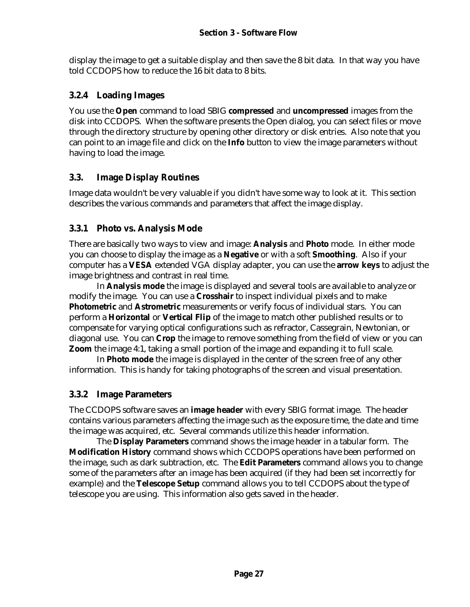display the image to get a suitable display and then save the 8 bit data. In that way you have told CCDOPS how to reduce the 16 bit data to 8 bits.

## **3.2.4 Loading Images**

You use the **Open** command to load SBIG **compressed** and **uncompressed** images from the disk into CCDOPS. When the software presents the Open dialog, you can select files or move through the directory structure by opening other directory or disk entries. Also note that you can point to an image file and click on the **Info** button to view the image parameters without having to load the image.

## **3.3. Image Display Routines**

Image data wouldn't be very valuable if you didn't have some way to look at it. This section describes the various commands and parameters that affect the image display.

#### **3.3.1 Photo vs. Analysis Mode**

There are basically two ways to view and image: **Analysis** and **Photo** mode. In either mode you can choose to display the image as a **Negative** or with a soft **Smoothing**. Also if your computer has a **VESA** extended VGA display adapter, you can use the **arrow keys** to adjust the image brightness and contrast in real time.

In **Analysis mode** the image is displayed and several tools are available to analyze or modify the image. You can use a **Crosshair** to inspect individual pixels and to make **Photometric** and **Astrometric** measurements or verify focus of individual stars. You can perform a **Horizontal** or **Vertical Flip** of the image to match other published results or to compensate for varying optical configurations such as refractor, Cassegrain, Newtonian, or diagonal use. You can **Crop** the image to remove something from the field of view or you can **Zoom** the image 4:1, taking a small portion of the image and expanding it to full scale.

In **Photo mode** the image is displayed in the center of the screen free of any other information. This is handy for taking photographs of the screen and visual presentation.

#### **3.3.2 Image Parameters**

The CCDOPS software saves an **image header** with every SBIG format image. The header contains various parameters affecting the image such as the exposure time, the date and time the image was acquired, etc. Several commands utilize this header information.

The **Display Parameters** command shows the image header in a tabular form. The **Modification History** command shows which CCDOPS operations have been performed on the image, such as dark subtraction, etc. The **Edit Parameters** command allows you to change some of the parameters after an image has been acquired (if they had been set incorrectly for example) and the **Telescope Setup** command allows you to tell CCDOPS about the type of telescope you are using. This information also gets saved in the header.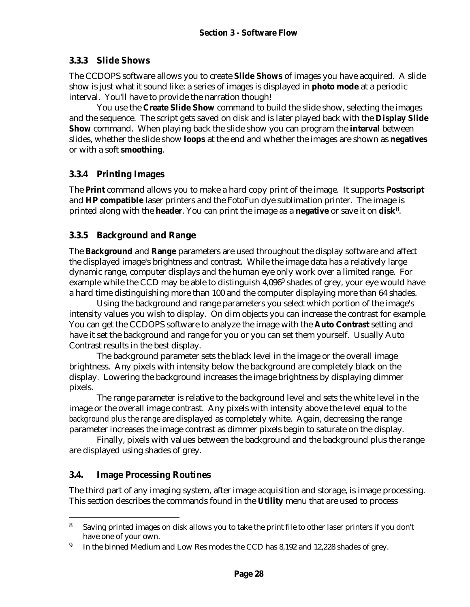#### **3.3.3 Slide Shows**

The CCDOPS software allows you to create **Slide Shows** of images you have acquired. A slide show is just what it sound like: a series of images is displayed in **photo mode** at a periodic interval. You'll have to provide the narration though!

You use the **Create Slide Show** command to build the slide show, selecting the images and the sequence. The script gets saved on disk and is later played back with the **Display Slide Show** command. When playing back the slide show you can program the **interval** between slides, whether the slide show **loops** at the end and whether the images are shown as **negatives** or with a soft **smoothing**.

## **3.3.4 Printing Images**

The **Print** command allows you to make a hard copy print of the image. It supports **Postscript** and **HP compatible** laser printers and the FotoFun dye sublimation printer. The image is printed along with the **header**. You can print the image as a **negative** or save it on **disk**<sup>8</sup> .

## **3.3.5 Background and Range**

The **Background** and **Range** parameters are used throughout the display software and affect the displayed image's brightness and contrast. While the image data has a relatively large dynamic range, computer displays and the human eye only work over a limited range. For example while the CCD may be able to distinguish 4,096<sup>9</sup> shades of grey, your eye would have a hard time distinguishing more than 100 and the computer displaying more than 64 shades.

Using the background and range parameters you select which portion of the image's intensity values you wish to display. On dim objects you can increase the contrast for example. You can get the CCDOPS software to analyze the image with the **Auto Contrast** setting and have it set the background and range for you or you can set them yourself. Usually Auto Contrast results in the best display.

The background parameter sets the black level in the image or the overall image brightness. Any pixels with intensity below the background are completely black on the display. Lowering the background increases the image brightness by displaying dimmer pixels.

The range parameter is relative to the background level and sets the white level in the image or the overall image contrast. Any pixels with intensity above the level equal to *the background plus the range* are displayed as completely white. Again, decreasing the range parameter increases the image contrast as dimmer pixels begin to saturate on the display.

Finally, pixels with values between the background and the background plus the range are displayed using shades of grey.

#### **3.4. Image Processing Routines**

 $\overline{a}$ 

The third part of any imaging system, after image acquisition and storage, is image processing. This section describes the commands found in the **Utility** menu that are used to process

<sup>&</sup>lt;sup>8</sup> Saving printed images on disk allows you to take the print file to other laser printers if you don't have one of your own.

<sup>9</sup> In the binned Medium and Low Res modes the CCD has 8,192 and 12,228 shades of grey.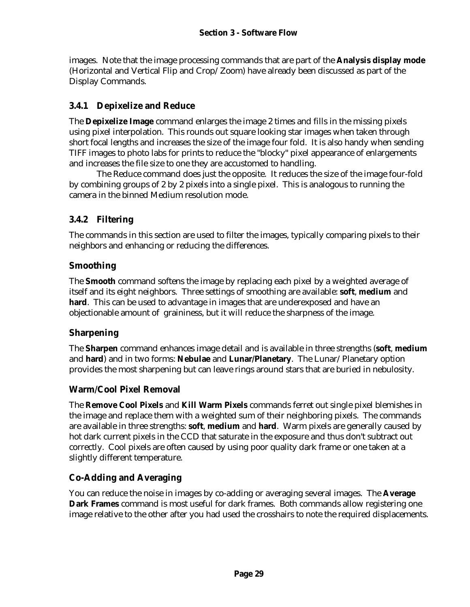images. Note that the image processing commands that are part of the **Analysis display mode** (Horizontal and Vertical Flip and Crop/Zoom) have already been discussed as part of the Display Commands.

## **3.4.1 Depixelize and Reduce**

The **Depixelize Image** command enlarges the image 2 times and fills in the missing pixels using pixel interpolation. This rounds out square looking star images when taken through short focal lengths and increases the size of the image four fold. It is also handy when sending TIFF images to photo labs for prints to reduce the "blocky" pixel appearance of enlargements and increases the file size to one they are accustomed to handling.

The Reduce command does just the opposite. It reduces the size of the image four-fold by combining groups of 2 by 2 pixels into a single pixel. This is analogous to running the camera in the binned Medium resolution mode.

# **3.4.2 Filtering**

The commands in this section are used to filter the images, typically comparing pixels to their neighbors and enhancing or reducing the differences.

## **Smoothing**

The **Smooth** command softens the image by replacing each pixel by a weighted average of itself and its eight neighbors. Three settings of smoothing are available: **soft**, **medium** and **hard**. This can be used to advantage in images that are underexposed and have an objectionable amount of graininess, but it will reduce the sharpness of the image.

# **Sharpening**

The **Sharpen** command enhances image detail and is available in three strengths (**soft**, **medium** and **hard**) and in two forms: **Nebulae** and **Lunar/Planetary**. The Lunar/Planetary option provides the most sharpening but can leave rings around stars that are buried in nebulosity.

# **Warm/Cool Pixel Removal**

The **Remove Cool Pixels** and **Kill Warm Pixels** commands ferret out single pixel blemishes in the image and replace them with a weighted sum of their neighboring pixels. The commands are available in three strengths: **soft**, **medium** and **hard**. Warm pixels are generally caused by hot dark current pixels in the CCD that saturate in the exposure and thus don't subtract out correctly. Cool pixels are often caused by using poor quality dark frame or one taken at a slightly different temperature.

# **Co-Adding and Averaging**

You can reduce the noise in images by co-adding or averaging several images. The **Average Dark Frames** command is most useful for dark frames. Both commands allow registering one image relative to the other after you had used the crosshairs to note the required displacements.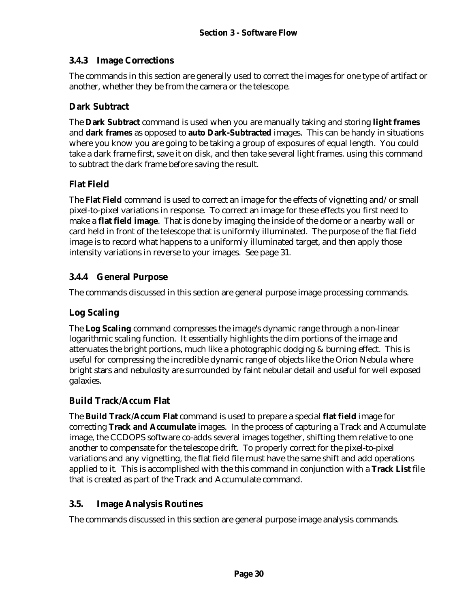## **3.4.3 Image Corrections**

The commands in this section are generally used to correct the images for one type of artifact or another, whether they be from the camera or the telescope.

## **Dark Subtract**

The **Dark Subtract** command is used when you are manually taking and storing **light frames** and **dark frames** as opposed to **auto Dark-Subtracted** images. This can be handy in situations where you know you are going to be taking a group of exposures of equal length. You could take a dark frame first, save it on disk, and then take several light frames. using this command to subtract the dark frame before saving the result.

# **Flat Field**

The **Flat Field** command is used to correct an image for the effects of vignetting and/or small pixel-to-pixel variations in response. To correct an image for these effects you first need to make a **flat field image**. That is done by imaging the inside of the dome or a nearby wall or card held in front of the telescope that is uniformly illuminated. The purpose of the flat field image is to record what happens to a uniformly illuminated target, and then apply those intensity variations in reverse to your images. See page 31.

# **3.4.4 General Purpose**

The commands discussed in this section are general purpose image processing commands.

# **Log Scaling**

The **Log Scaling** command compresses the image's dynamic range through a non-linear logarithmic scaling function. It essentially highlights the dim portions of the image and attenuates the bright portions, much like a photographic dodging & burning effect. This is useful for compressing the incredible dynamic range of objects like the Orion Nebula where bright stars and nebulosity are surrounded by faint nebular detail and useful for well exposed galaxies.

# **Build Track/Accum Flat**

The **Build Track/Accum Flat** command is used to prepare a special **flat field** image for correcting **Track and Accumulate** images. In the process of capturing a Track and Accumulate image, the CCDOPS software co-adds several images together, shifting them relative to one another to compensate for the telescope drift. To properly correct for the pixel-to-pixel variations and any vignetting, the flat field file must have the same shift and add operations applied to it. This is accomplished with the this command in conjunction with a **Track List** file that is created as part of the Track and Accumulate command.

## **3.5. Image Analysis Routines**

The commands discussed in this section are general purpose image analysis commands.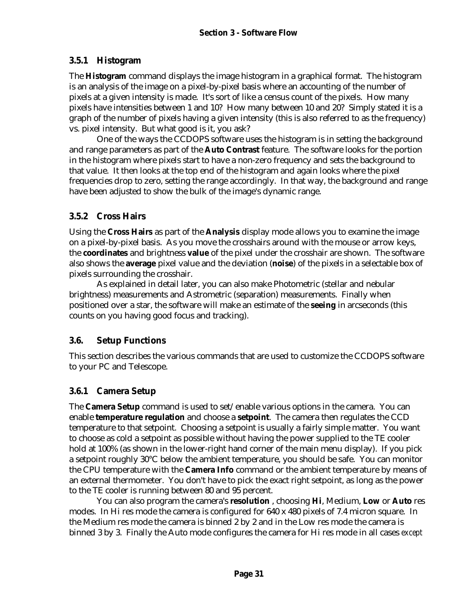# **3.5.1 Histogram**

The **Histogram** command displays the image histogram in a graphical format. The histogram is an analysis of the image on a pixel-by-pixel basis where an accounting of the number of pixels at a given intensity is made. It's sort of like a census count of the pixels. How many pixels have intensities between 1 and 10? How many between 10 and 20? Simply stated it is a graph of the number of pixels having a given intensity (this is also referred to as the frequency) vs. pixel intensity. But what good is it, you ask?

One of the ways the CCDOPS software uses the histogram is in setting the background and range parameters as part of the **Auto Contrast** feature. The software looks for the portion in the histogram where pixels start to have a non-zero frequency and sets the background to that value. It then looks at the top end of the histogram and again looks where the pixel frequencies drop to zero, setting the range accordingly. In that way, the background and range have been adjusted to show the bulk of the image's dynamic range.

# **3.5.2 Cross Hairs**

Using the **Cross Hairs** as part of the **Analysis** display mode allows you to examine the image on a pixel-by-pixel basis. As you move the crosshairs around with the mouse or arrow keys, the **coordinates** and brightness **value** of the pixel under the crosshair are shown. The software also shows the **average** pixel value and the deviation (**noise**) of the pixels in a selectable box of pixels surrounding the crosshair.

As explained in detail later, you can also make Photometric (stellar and nebular brightness) measurements and Astrometric (separation) measurements. Finally when positioned over a star, the software will make an estimate of the **seeing** in arcseconds (this counts on you having good focus and tracking).

## **3.6. Setup Functions**

This section describes the various commands that are used to customize the CCDOPS software to your PC and Telescope.

# **3.6.1 Camera Setup**

The **Camera Setup** command is used to set/enable various options in the camera. You can enable **temperature regulation** and choose a **setpoint**. The camera then regulates the CCD temperature to that setpoint. Choosing a setpoint is usually a fairly simple matter. You want to choose as cold a setpoint as possible without having the power supplied to the TE cooler hold at 100% (as shown in the lower-right hand corner of the main menu display). If you pick a setpoint roughly 30°C below the ambient temperature, you should be safe. You can monitor the CPU temperature with the **Camera Info** command or the ambient temperature by means of an external thermometer. You don't have to pick the exact right setpoint, as long as the power to the TE cooler is running between 80 and 95 percent.

You can also program the camera's **resolution** , choosing **Hi**, Medium, **Low** or **Auto** res modes. In Hi res mode the camera is configured for 640 x 480 pixels of 7.4 micron square. In the Medium res mode the camera is binned 2 by 2 and in the Low res mode the camera is binned 3 by 3. Finally the Auto mode configures the camera for Hi res mode in all cases *except*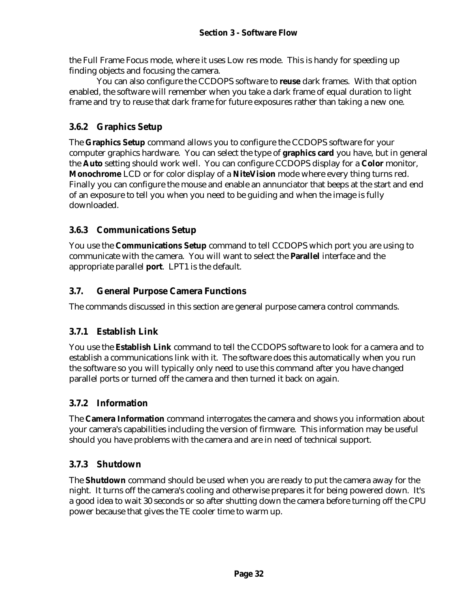the Full Frame Focus mode, where it uses Low res mode. This is handy for speeding up finding objects and focusing the camera.

You can also configure the CCDOPS software to **reuse** dark frames. With that option enabled, the software will remember when you take a dark frame of equal duration to light frame and try to reuse that dark frame for future exposures rather than taking a new one.

## **3.6.2 Graphics Setup**

The **Graphics Setup** command allows you to configure the CCDOPS software for your computer graphics hardware. You can select the type of **graphics card** you have, but in general the **Auto** setting should work well. You can configure CCDOPS display for a **Color** monitor, **Monochrome** LCD or for color display of a **NiteVision** mode where every thing turns red. Finally you can configure the mouse and enable an annunciator that beeps at the start and end of an exposure to tell you when you need to be guiding and when the image is fully downloaded.

#### **3.6.3 Communications Setup**

You use the **Communications Setup** command to tell CCDOPS which port you are using to communicate with the camera. You will want to select the **Parallel** interface and the appropriate parallel **port**. LPT1 is the default.

## **3.7. General Purpose Camera Functions**

The commands discussed in this section are general purpose camera control commands.

# **3.7.1 Establish Link**

You use the **Establish Link** command to tell the CCDOPS software to look for a camera and to establish a communications link with it. The software does this automatically when you run the software so you will typically only need to use this command after you have changed parallel ports or turned off the camera and then turned it back on again.

# **3.7.2 Information**

The **Camera Information** command interrogates the camera and shows you information about your camera's capabilities including the version of firmware. This information may be useful should you have problems with the camera and are in need of technical support.

# **3.7.3 Shutdown**

The **Shutdown** command should be used when you are ready to put the camera away for the night. It turns off the camera's cooling and otherwise prepares it for being powered down. It's a good idea to wait 30 seconds or so after shutting down the camera before turning off the CPU power because that gives the TE cooler time to warm up.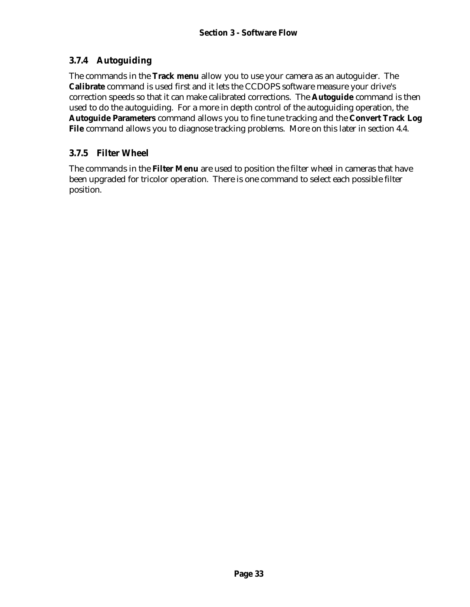## **3.7.4 Autoguiding**

The commands in the **Track menu** allow you to use your camera as an autoguider. The **Calibrate** command is used first and it lets the CCDOPS software measure your drive's correction speeds so that it can make calibrated corrections. The **Autoguide** command is then used to do the autoguiding. For a more in depth control of the autoguiding operation, the **Autoguide Parameters** command allows you to fine tune tracking and the **Convert Track Log File** command allows you to diagnose tracking problems. More on this later in section 4.4.

#### **3.7.5 Filter Wheel**

The commands in the **Filter Menu** are used to position the filter wheel in cameras that have been upgraded for tricolor operation. There is one command to select each possible filter position.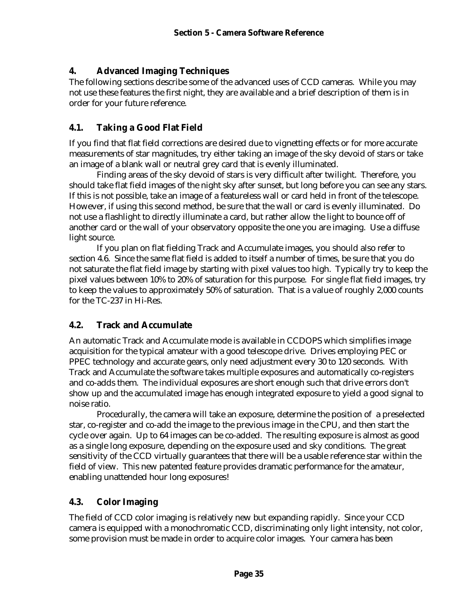#### **4. Advanced Imaging Techniques**

The following sections describe some of the advanced uses of CCD cameras. While you may not use these features the first night, they are available and a brief description of them is in order for your future reference.

## **4.1. Taking a Good Flat Field**

If you find that flat field corrections are desired due to vignetting effects or for more accurate measurements of star magnitudes, try either taking an image of the sky devoid of stars or take an image of a blank wall or neutral grey card that is evenly illuminated.

Finding areas of the sky devoid of stars is very difficult after twilight. Therefore, you should take flat field images of the night sky after sunset, but long before you can see any stars. If this is not possible, take an image of a featureless wall or card held in front of the telescope. However, if using this second method, be sure that the wall or card is evenly illuminated. Do not use a flashlight to directly illuminate a card, but rather allow the light to bounce off of another card or the wall of your observatory opposite the one you are imaging. Use a diffuse light source.

If you plan on flat fielding Track and Accumulate images, you should also refer to section 4.6. Since the same flat field is added to itself a number of times, be sure that you do not saturate the flat field image by starting with pixel values too high. Typically try to keep the pixel values between 10% to 20% of saturation for this purpose. For single flat field images, try to keep the values to approximately 50% of saturation. That is a value of roughly 2,000 counts for the TC-237 in Hi-Res.

#### **4.2. Track and Accumulate**

An automatic Track and Accumulate mode is available in CCDOPS which simplifies image acquisition for the typical amateur with a good telescope drive. Drives employing PEC or PPEC technology and accurate gears, only need adjustment every 30 to 120 seconds. With Track and Accumulate the software takes multiple exposures and automatically co-registers and co-adds them. The individual exposures are short enough such that drive errors don't show up and the accumulated image has enough integrated exposure to yield a good signal to noise ratio.

Procedurally, the camera will take an exposure, determine the position of a preselected star, co-register and co-add the image to the previous image in the CPU, and then start the cycle over again. Up to 64 images can be co-added. The resulting exposure is almost as good as a single long exposure, depending on the exposure used and sky conditions. The great sensitivity of the CCD virtually guarantees that there will be a usable reference star within the field of view. This new patented feature provides dramatic performance for the amateur, enabling unattended hour long exposures!

#### **4.3. Color Imaging**

The field of CCD color imaging is relatively new but expanding rapidly. Since your CCD camera is equipped with a monochromatic CCD, discriminating only light intensity, not color, some provision must be made in order to acquire color images. Your camera has been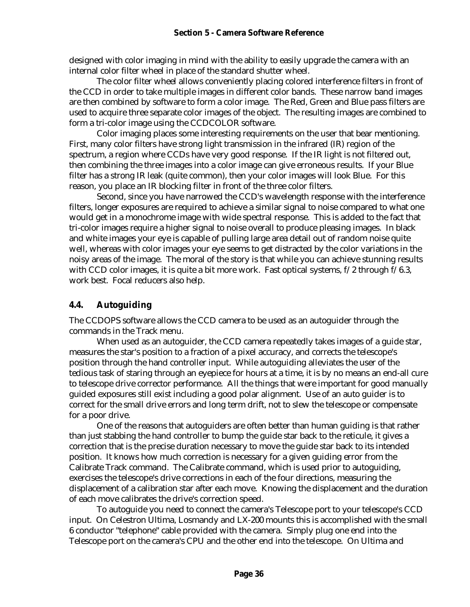#### **Section 5 - Camera Software Reference**

designed with color imaging in mind with the ability to easily upgrade the camera with an internal color filter wheel in place of the standard shutter wheel.

The color filter wheel allows conveniently placing colored interference filters in front of the CCD in order to take multiple images in different color bands. These narrow band images are then combined by software to form a color image. The Red, Green and Blue pass filters are used to acquire three separate color images of the object. The resulting images are combined to form a tri-color image using the CCDCOLOR software.

Color imaging places some interesting requirements on the user that bear mentioning. First, many color filters have strong light transmission in the infrared (IR) region of the spectrum, a region where CCDs have very good response. If the IR light is not filtered out, then combining the three images into a color image can give erroneous results. If your Blue filter has a strong IR leak (quite common), then your color images will look Blue. For this reason, you place an IR blocking filter in front of the three color filters.

Second, since you have narrowed the CCD's wavelength response with the interference filters, longer exposures are required to achieve a similar signal to noise compared to what one would get in a monochrome image with wide spectral response. This is added to the fact that tri-color images require a higher signal to noise overall to produce pleasing images. In black and white images your eye is capable of pulling large area detail out of random noise quite well, whereas with color images your eye seems to get distracted by the color variations in the noisy areas of the image. The moral of the story is that while you can achieve stunning results with CCD color images, it is quite a bit more work. Fast optical systems,  $f/2$  through  $f/6.3$ , work best. Focal reducers also help.

#### **4.4. Autoguiding**

The CCDOPS software allows the CCD camera to be used as an autoguider through the commands in the Track menu.

When used as an autoguider, the CCD camera repeatedly takes images of a guide star, measures the star's position to a fraction of a pixel accuracy, and corrects the telescope's position through the hand controller input. While autoguiding alleviates the user of the tedious task of staring through an eyepiece for hours at a time, it is by no means an end-all cure to telescope drive corrector performance. All the things that were important for good manually guided exposures still exist including a good polar alignment. Use of an auto guider is to correct for the small drive errors and long term drift, not to slew the telescope or compensate for a poor drive.

One of the reasons that autoguiders are often better than human guiding is that rather than just stabbing the hand controller to bump the guide star back to the reticule, it gives a correction that is the precise duration necessary to move the guide star back to its intended position. It knows how much correction is necessary for a given guiding error from the Calibrate Track command. The Calibrate command, which is used prior to autoguiding, exercises the telescope's drive corrections in each of the four directions, measuring the displacement of a calibration star after each move. Knowing the displacement and the duration of each move calibrates the drive's correction speed.

To autoguide you need to connect the camera's Telescope port to your telescope's CCD input. On Celestron Ultima, Losmandy and LX-200 mounts this is accomplished with the small 6 conductor "telephone" cable provided with the camera. Simply plug one end into the Telescope port on the camera's CPU and the other end into the telescope. On Ultima and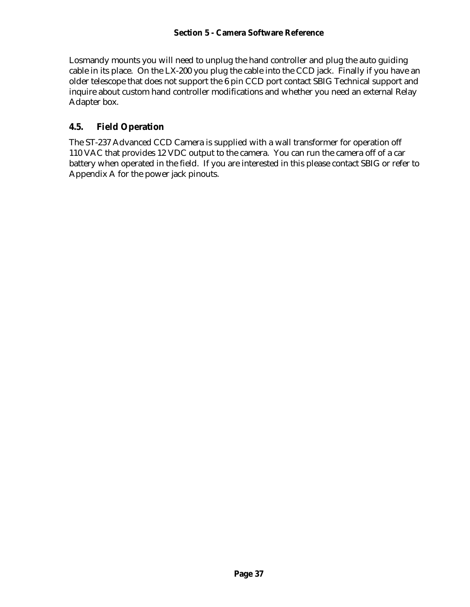Losmandy mounts you will need to unplug the hand controller and plug the auto guiding cable in its place. On the LX-200 you plug the cable into the CCD jack. Finally if you have an older telescope that does not support the 6 pin CCD port contact SBIG Technical support and inquire about custom hand controller modifications and whether you need an external Relay Adapter box.

#### **4.5. Field Operation**

The ST-237 Advanced CCD Camera is supplied with a wall transformer for operation off 110 VAC that provides 12 VDC output to the camera. You can run the camera off of a car battery when operated in the field. If you are interested in this please contact SBIG or refer to Appendix A for the power jack pinouts.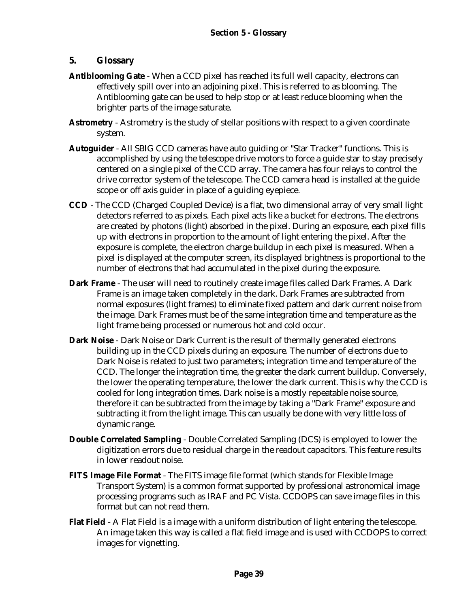#### **5. Glossary**

- **Antiblooming Gate** When a CCD pixel has reached its full well capacity, electrons can effectively spill over into an adjoining pixel. This is referred to as blooming. The Antiblooming gate can be used to help stop or at least reduce blooming when the brighter parts of the image saturate.
- **Astrometry** Astrometry is the study of stellar positions with respect to a given coordinate system.
- **Autoguider** All SBIG CCD cameras have auto guiding or "Star Tracker" functions. This is accomplished by using the telescope drive motors to force a guide star to stay precisely centered on a single pixel of the CCD array. The camera has four relays to control the drive corrector system of the telescope. The CCD camera head is installed at the guide scope or off axis guider in place of a guiding eyepiece.
- **CCD** The CCD (Charged Coupled Device) is a flat, two dimensional array of very small light detectors referred to as pixels. Each pixel acts like a bucket for electrons. The electrons are created by photons (light) absorbed in the pixel. During an exposure, each pixel fills up with electrons in proportion to the amount of light entering the pixel. After the exposure is complete, the electron charge buildup in each pixel is measured. When a pixel is displayed at the computer screen, its displayed brightness is proportional to the number of electrons that had accumulated in the pixel during the exposure.
- **Dark Frame** The user will need to routinely create image files called Dark Frames. A Dark Frame is an image taken completely in the dark. Dark Frames are subtracted from normal exposures (light frames) to eliminate fixed pattern and dark current noise from the image. Dark Frames must be of the same integration time and temperature as the light frame being processed or numerous hot and cold occur.
- **Dark Noise**  Dark Noise or Dark Current is the result of thermally generated electrons building up in the CCD pixels during an exposure. The number of electrons due to Dark Noise is related to just two parameters; integration time and temperature of the CCD. The longer the integration time, the greater the dark current buildup. Conversely, the lower the operating temperature, the lower the dark current. This is why the CCD is cooled for long integration times. Dark noise is a mostly repeatable noise source, therefore it can be subtracted from the image by taking a "Dark Frame" exposure and subtracting it from the light image. This can usually be done with very little loss of dynamic range.
- **Double Correlated Sampling** Double Correlated Sampling (DCS) is employed to lower the digitization errors due to residual charge in the readout capacitors. This feature results in lower readout noise.
- **FITS Image File Format** The FITS image file format (which stands for Flexible Image Transport System) is a common format supported by professional astronomical image processing programs such as IRAF and PC Vista. CCDOPS can save image files in this format but can not read them.
- **Flat Field** A Flat Field is a image with a uniform distribution of light entering the telescope. An image taken this way is called a flat field image and is used with CCDOPS to correct images for vignetting.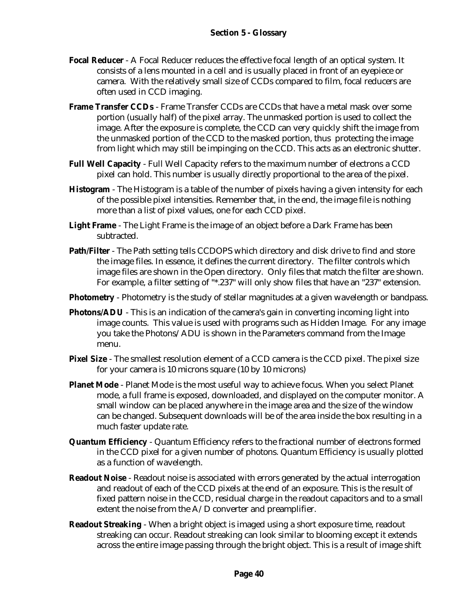- **Focal Reducer** A Focal Reducer reduces the effective focal length of an optical system. It consists of a lens mounted in a cell and is usually placed in front of an eyepiece or camera. With the relatively small size of CCDs compared to film, focal reducers are often used in CCD imaging.
- **Frame Transfer CCDs** Frame Transfer CCDs are CCDs that have a metal mask over some portion (usually half) of the pixel array. The unmasked portion is used to collect the image. After the exposure is complete, the CCD can very quickly shift the image from the unmasked portion of the CCD to the masked portion, thus protecting the image from light which may still be impinging on the CCD. This acts as an electronic shutter.
- **Full Well Capacity** Full Well Capacity refers to the maximum number of electrons a CCD pixel can hold. This number is usually directly proportional to the area of the pixel.
- **Histogram** The Histogram is a table of the number of pixels having a given intensity for each of the possible pixel intensities. Remember that, in the end, the image file is nothing more than a list of pixel values, one for each CCD pixel.
- **Light Frame** The Light Frame is the image of an object before a Dark Frame has been subtracted.
- **Path/Filter**  The Path setting tells CCDOPS which directory and disk drive to find and store the image files. In essence, it defines the current directory. The filter controls which image files are shown in the Open directory. Only files that match the filter are shown. For example, a filter setting of "\*.237" will only show files that have an "237" extension.
- **Photometry** Photometry is the study of stellar magnitudes at a given wavelength or bandpass.
- **Photons/ADU** This is an indication of the camera's gain in converting incoming light into image counts. This value is used with programs such as Hidden Image. For any image you take the Photons/ADU is shown in the Parameters command from the Image menu.
- **Pixel Size** The smallest resolution element of a CCD camera is the CCD pixel. The pixel size for your camera is 10 microns square (10 by 10 microns)
- **Planet Mode** Planet Mode is the most useful way to achieve focus. When you select Planet mode, a full frame is exposed, downloaded, and displayed on the computer monitor. A small window can be placed anywhere in the image area and the size of the window can be changed. Subsequent downloads will be of the area inside the box resulting in a much faster update rate.
- **Quantum Efficiency** Quantum Efficiency refers to the fractional number of electrons formed in the CCD pixel for a given number of photons. Quantum Efficiency is usually plotted as a function of wavelength.
- **Readout Noise** Readout noise is associated with errors generated by the actual interrogation and readout of each of the CCD pixels at the end of an exposure. This is the result of fixed pattern noise in the CCD, residual charge in the readout capacitors and to a small extent the noise from the A/D converter and preamplifier.
- **Readout Streaking** When a bright object is imaged using a short exposure time, readout streaking can occur. Readout streaking can look similar to blooming except it extends across the entire image passing through the bright object. This is a result of image shift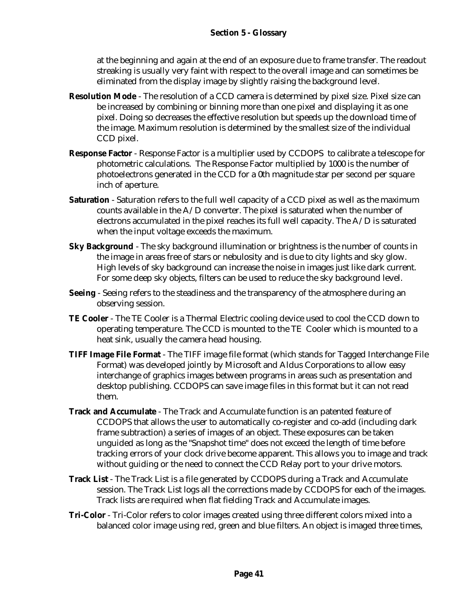at the beginning and again at the end of an exposure due to frame transfer. The readout streaking is usually very faint with respect to the overall image and can sometimes be eliminated from the display image by slightly raising the background level.

- **Resolution Mode** The resolution of a CCD camera is determined by pixel size. Pixel size can be increased by combining or binning more than one pixel and displaying it as one pixel. Doing so decreases the effective resolution but speeds up the download time of the image. Maximum resolution is determined by the smallest size of the individual CCD pixel.
- **Response Factor** Response Factor is a multiplier used by CCDOPS to calibrate a telescope for photometric calculations. The Response Factor multiplied by 1000 is the number of photoelectrons generated in the CCD for a 0th magnitude star per second per square inch of aperture.
- **Saturation** Saturation refers to the full well capacity of a CCD pixel as well as the maximum counts available in the A/D converter. The pixel is saturated when the number of electrons accumulated in the pixel reaches its full well capacity. The A/D is saturated when the input voltage exceeds the maximum.
- **Sky Background** The sky background illumination or brightness is the number of counts in the image in areas free of stars or nebulosity and is due to city lights and sky glow. High levels of sky background can increase the noise in images just like dark current. For some deep sky objects, filters can be used to reduce the sky background level.
- **Seeing** Seeing refers to the steadiness and the transparency of the atmosphere during an observing session.
- **TE Cooler**  The TE Cooler is a Thermal Electric cooling device used to cool the CCD down to operating temperature. The CCD is mounted to the TE Cooler which is mounted to a heat sink, usually the camera head housing.
- **TIFF Image File Format** The TIFF image file format (which stands for Tagged Interchange File Format) was developed jointly by Microsoft and Aldus Corporations to allow easy interchange of graphics images between programs in areas such as presentation and desktop publishing. CCDOPS can save image files in this format but it can not read them.
- **Track and Accumulate** The Track and Accumulate function is an patented feature of CCDOPS that allows the user to automatically co-register and co-add (including dark frame subtraction) a series of images of an object. These exposures can be taken unguided as long as the "Snapshot time" does not exceed the length of time before tracking errors of your clock drive become apparent. This allows you to image and track without guiding or the need to connect the CCD Relay port to your drive motors.
- **Track List** The Track List is a file generated by CCDOPS during a Track and Accumulate session. The Track List logs all the corrections made by CCDOPS for each of the images. Track lists are required when flat fielding Track and Accumulate images.
- **Tri-Color** Tri-Color refers to color images created using three different colors mixed into a balanced color image using red, green and blue filters. An object is imaged three times,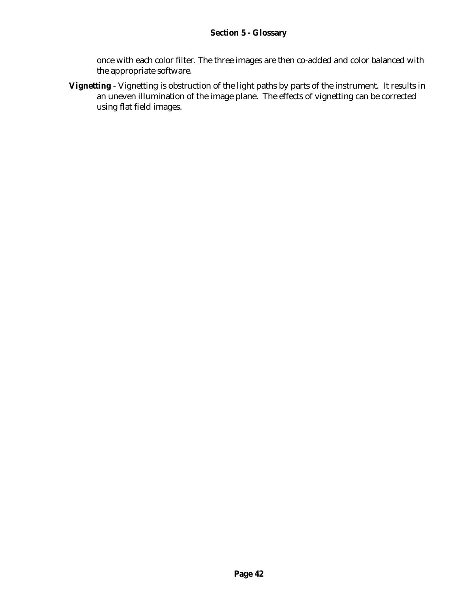#### **Section 5 - Glossary**

once with each color filter. The three images are then co-added and color balanced with the appropriate software.

**Vignetting** - Vignetting is obstruction of the light paths by parts of the instrument. It results in an uneven illumination of the image plane. The effects of vignetting can be corrected using flat field images.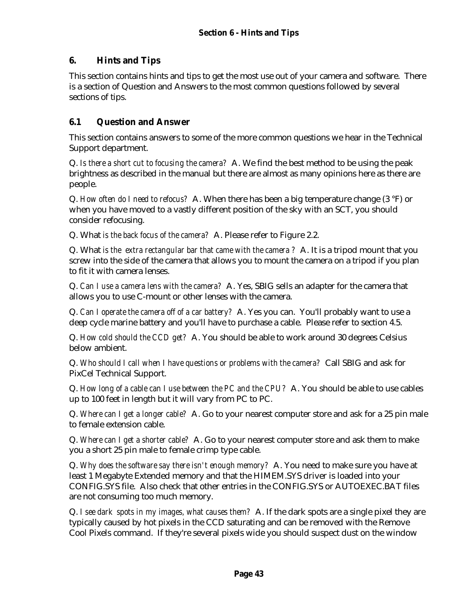## **6. Hints and Tips**

This section contains hints and tips to get the most use out of your camera and software. There is a section of Question and Answers to the most common questions followed by several sections of tips.

## **6.1 Question and Answer**

This section contains answers to some of the more common questions we hear in the Technical Support department.

Q. *Is there a short cut to focusing the camera?* A. We find the best method to be using the peak brightness as described in the manual but there are almost as many opinions here as there are people.

Q. *How often do I need to refocus?* A. When there has been a big temperature change (3 °F) or when you have moved to a vastly different position of the sky with an SCT, you should consider refocusing.

Q. What *is the back focus of the camera?* A. Please refer to Figure 2.2.

Q. What *is the extra rectangular bar that came with the camera ?* A. It is a tripod mount that you screw into the side of the camera that allows you to mount the camera on a tripod if you plan to fit it with camera lenses.

Q. *Can I use a camera lens with the camera?* A. Yes, SBIG sells an adapter for the camera that allows you to use C-mount or other lenses with the camera.

Q. *Can I operate the camera off of a car battery?* A. Yes you can. You'll probably want to use a deep cycle marine battery and you'll have to purchase a cable. Please refer to section 4.5.

Q. *How cold should the CCD get?* A. You should be able to work around 30 degrees Celsius below ambient.

Q. *Who should I call when I have questions or problems with the camera?* Call SBIG and ask for PixCel Technical Support.

Q. *How long of a cable can I use between the PC and the CPU?* A. You should be able to use cables up to 100 feet in length but it will vary from PC to PC.

Q. *Where can I get a longer cable?* A. Go to your nearest computer store and ask for a 25 pin male to female extension cable.

Q. *Where can I get a shorter cable?* A. Go to your nearest computer store and ask them to make you a short 25 pin male to female crimp type cable.

Q. *Why does the software say there isn't enough memory?* A. You need to make sure you have at least 1 Megabyte Extended memory and that the HIMEM.SYS driver is loaded into your CONFIG.SYS file. Also check that other entries in the CONFIG.SYS or AUTOEXEC.BAT files are not consuming too much memory.

Q. *I see dark spots in my images, what causes them?* A. If the dark spots are a single pixel they are typically caused by hot pixels in the CCD saturating and can be removed with the Remove Cool Pixels command. If they're several pixels wide you should suspect dust on the window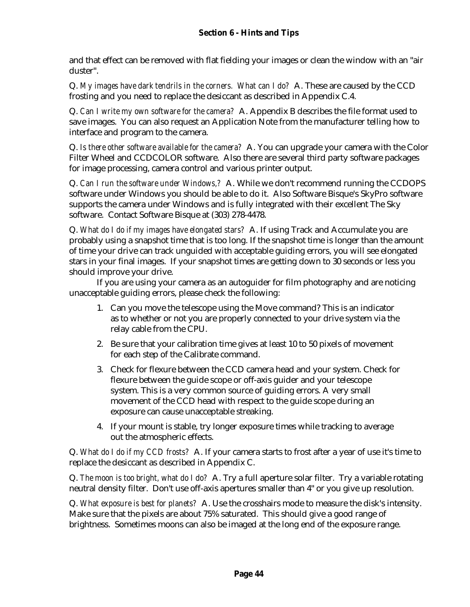and that effect can be removed with flat fielding your images or clean the window with an "air duster".

Q. *My images have dark tendrils in the corners. What can I do?* A. These are caused by the CCD frosting and you need to replace the desiccant as described in Appendix C.4.

Q. *Can I write my own software for the camera?* A. Appendix B describes the file format used to save images. You can also request an Application Note from the manufacturer telling how to interface and program to the camera.

Q. *Is there other software available for the camera?* A. You can upgrade your camera with the Color Filter Wheel and CCDCOLOR software. Also there are several third party software packages for image processing, camera control and various printer output.

Q. *Can I run the software under Windows,?* A. While we don't recommend running the CCDOPS software under Windows you should be able to do it. Also Software Bisque's SkyPro software supports the camera under Windows and is fully integrated with their excellent The Sky software. Contact Software Bisque at (303) 278-4478.

Q. *What do I do if my images have elongated stars?* A. If using Track and Accumulate you are probably using a snapshot time that is too long. If the snapshot time is longer than the amount of time your drive can track unguided with acceptable guiding errors, you will see elongated stars in your final images. If your snapshot times are getting down to 30 seconds or less you should improve your drive.

If you are using your camera as an autoguider for film photography and are noticing unacceptable guiding errors, please check the following:

- 1. Can you move the telescope using the Move command? This is an indicator as to whether or not you are properly connected to your drive system via the relay cable from the CPU.
- 2. Be sure that your calibration time gives at least 10 to 50 pixels of movement for each step of the Calibrate command.
- 3. Check for flexure between the CCD camera head and your system. Check for flexure between the guide scope or off-axis guider and your telescope system. This is a very common source of guiding errors. A very small movement of the CCD head with respect to the guide scope during an exposure can cause unacceptable streaking.
- 4. If your mount is stable, try longer exposure times while tracking to average out the atmospheric effects.

Q. *What do I do if my CCD frosts?* A. If your camera starts to frost after a year of use it's time to replace the desiccant as described in Appendix C.

Q. *The moon is too bright, what do I do?* A. Try a full aperture solar filter. Try a variable rotating neutral density filter. Don't use off-axis apertures smaller than 4" or you give up resolution.

Q. *What exposure is best for planets?* A. Use the crosshairs mode to measure the disk's intensity. Make sure that the pixels are about 75% saturated. This should give a good range of brightness. Sometimes moons can also be imaged at the long end of the exposure range.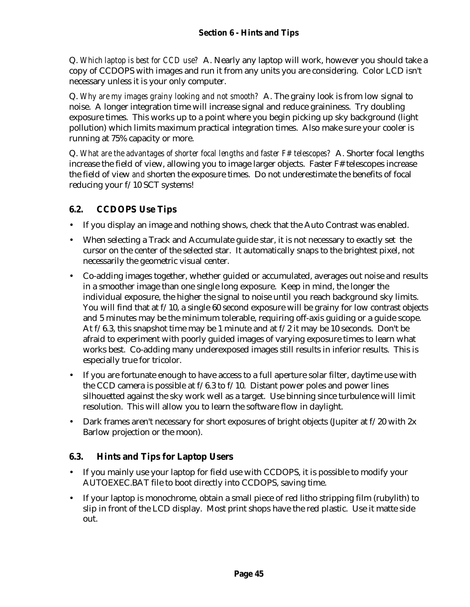Q. *Which laptop is best for CCD use?* A. Nearly any laptop will work, however you should take a copy of CCDOPS with images and run it from any units you are considering. Color LCD isn't necessary unless it is your only computer.

Q. *Why are my images grainy looking and not smooth?* A. The grainy look is from low signal to noise. A longer integration time will increase signal and reduce graininess. Try doubling exposure times. This works up to a point where you begin picking up sky background (light pollution) which limits maximum practical integration times. Also make sure your cooler is running at 75% capacity or more.

Q. *What are the advantages of shorter focal lengths and faster F# telescopes?* A. Shorter focal lengths increase the field of view, allowing you to image larger objects. Faster F# telescopes increase the field of view *and* shorten the exposure times. Do not underestimate the benefits of focal reducing your f/10 SCT systems!

# **6.2. CCDOPS Use Tips**

- If you display an image and nothing shows, check that the Auto Contrast was enabled.
- When selecting a Track and Accumulate guide star, it is not necessary to exactly set the cursor on the center of the selected star. It automatically snaps to the brightest pixel, not necessarily the geometric visual center.
- Co-adding images together, whether guided or accumulated, averages out noise and results in a smoother image than one single long exposure. Keep in mind, the longer the individual exposure, the higher the signal to noise until you reach background sky limits. You will find that at f/10, a single 60 second exposure will be grainy for low contrast objects and 5 minutes may be the minimum tolerable, requiring off-axis guiding or a guide scope. At f/6.3, this snapshot time may be 1 minute and at f/2 it may be 10 seconds. Don't be afraid to experiment with poorly guided images of varying exposure times to learn what works best. Co-adding many underexposed images still results in inferior results. This is especially true for tricolor.
- If you are fortunate enough to have access to a full aperture solar filter, daytime use with the CCD camera is possible at f/6.3 to f/10. Distant power poles and power lines silhouetted against the sky work well as a target. Use binning since turbulence will limit resolution. This will allow you to learn the software flow in daylight.
- Dark frames aren't necessary for short exposures of bright objects (Jupiter at  $f/20$  with  $2x$ Barlow projection or the moon).

# **6.3. Hints and Tips for Laptop Users**

- If you mainly use your laptop for field use with CCDOPS, it is possible to modify your AUTOEXEC.BAT file to boot directly into CCDOPS, saving time.
- If your laptop is monochrome, obtain a small piece of red litho stripping film (rubylith) to slip in front of the LCD display. Most print shops have the red plastic. Use it matte side out.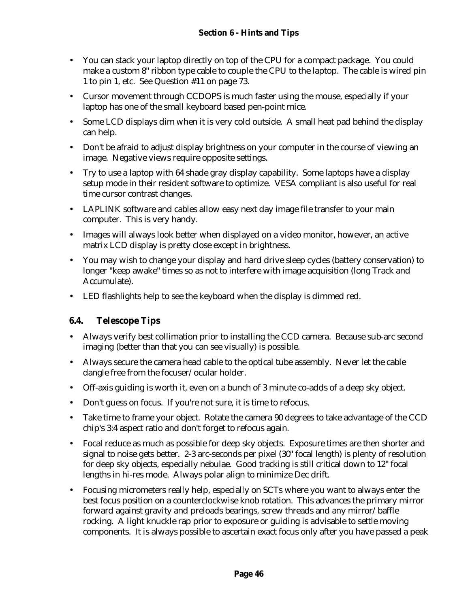- You can stack your laptop directly on top of the CPU for a compact package. You could make a custom 8" ribbon type cable to couple the CPU to the laptop. The cable is wired pin 1 to pin 1, etc. See Question #11 on page 73.
- Cursor movement through CCDOPS is much faster using the mouse, especially if your laptop has one of the small keyboard based pen-point mice.
- Some LCD displays dim when it is very cold outside. A small heat pad behind the display can help.
- Don't be afraid to adjust display brightness on your computer in the course of viewing an image. Negative views require opposite settings.
- Try to use a laptop with 64 shade gray display capability. Some laptops have a display setup mode in their resident software to optimize. VESA compliant is also useful for real time cursor contrast changes.
- LAPLINK software and cables allow easy next day image file transfer to your main computer. This is very handy.
- Images will always look better when displayed on a video monitor, however, an active matrix LCD display is pretty close except in brightness.
- You may wish to change your display and hard drive sleep cycles (battery conservation) to longer "keep awake" times so as not to interfere with image acquisition (long Track and Accumulate).
- LED flashlights help to see the keyboard when the display is dimmed red.

#### **6.4. Telescope Tips**

- Always verify best collimation prior to installing the CCD camera. Because sub-arc second imaging (better than that you can see visually) is possible.
- Always secure the camera head cable to the optical tube assembly. Never let the cable dangle free from the focuser/ocular holder.
- Off-axis guiding is worth it, even on a bunch of 3 minute co-adds of a deep sky object.
- Don't guess on focus. If you're not sure, it is time to refocus.
- Take time to frame your object. Rotate the camera 90 degrees to take advantage of the CCD chip's 3:4 aspect ratio and don't forget to refocus again.
- Focal reduce as much as possible for deep sky objects. Exposure times are then shorter and signal to noise gets better. 2-3 arc-seconds per pixel (30" focal length) is plenty of resolution for deep sky objects, especially nebulae. Good tracking is still critical down to 12" focal lengths in hi-res mode. Always polar align to minimize Dec drift.
- Focusing micrometers really help, especially on SCTs where you want to always enter the best focus position on a counterclockwise knob rotation. This advances the primary mirror forward against gravity and preloads bearings, screw threads and any mirror/baffle rocking. A light knuckle rap prior to exposure or guiding is advisable to settle moving components. It is always possible to ascertain exact focus only after you have passed a peak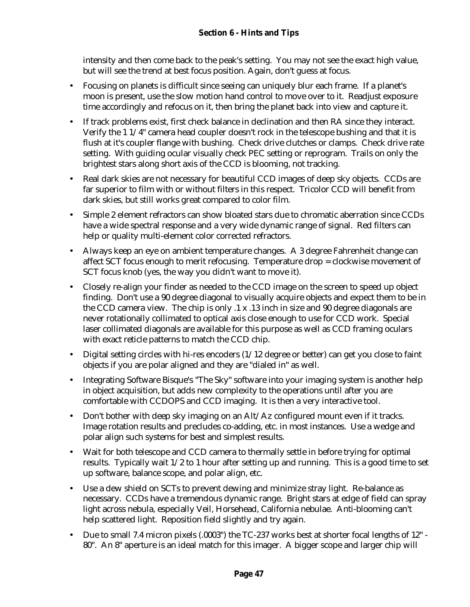intensity and then come back to the peak's setting. You may not see the exact high value, but will see the trend at best focus position. Again, don't guess at focus.

- Focusing on planets is difficult since seeing can uniquely blur each frame. If a planet's moon is present, use the slow motion hand control to move over to it. Readjust exposure time accordingly and refocus on it, then bring the planet back into view and capture it.
- If track problems exist, first check balance in declination and then RA since they interact. Verify the 1 1/4" camera head coupler doesn't rock in the telescope bushing and that it is flush at it's coupler flange with bushing. Check drive clutches or clamps. Check drive rate setting. With guiding ocular visually check PEC setting or reprogram. Trails on only the brightest stars along short axis of the CCD is blooming, not tracking.
- Real dark skies are not necessary for beautiful CCD images of deep sky objects. CCDs are far superior to film with or without filters in this respect. Tricolor CCD will benefit from dark skies, but still works great compared to color film.
- Simple 2 element refractors can show bloated stars due to chromatic aberration since CCDs have a wide spectral response and a very wide dynamic range of signal. Red filters can help or quality multi-element color corrected refractors.
- Always keep an eye on ambient temperature changes. A 3 degree Fahrenheit change can affect SCT focus enough to merit refocusing. Temperature drop = clockwise movement of SCT focus knob (yes, the way you didn't want to move it).
- Closely re-align your finder as needed to the CCD image on the screen to speed up object finding. Don't use a 90 degree diagonal to visually acquire objects and expect them to be in the CCD camera view. The chip is only .1 x .13 inch in size and 90 degree diagonals are never rotationally collimated to optical axis close enough to use for CCD work. Special laser collimated diagonals are available for this purpose as well as CCD framing oculars with exact reticle patterns to match the CCD chip.
- Digital setting circles with hi-res encoders  $(1/12$  degree or better) can get you close to faint objects if you are polar aligned and they are "dialed in" as well.
- Integrating Software Bisque's "The Sky" software into your imaging system is another help in object acquisition, but adds new complexity to the operations until after you are comfortable with CCDOPS and CCD imaging. It is then a very interactive tool.
- Don't bother with deep sky imaging on an Alt/Az configured mount even if it tracks. Image rotation results and precludes co-adding, etc. in most instances. Use a wedge and polar align such systems for best and simplest results.
- Wait for both telescope and CCD camera to thermally settle in before trying for optimal results. Typically wait 1/2 to 1 hour after setting up and running. This is a good time to set up software, balance scope, and polar align, etc.
- Use a dew shield on SCTs to prevent dewing and minimize stray light. Re-balance as necessary. CCDs have a tremendous dynamic range. Bright stars at edge of field can spray light across nebula, especially Veil, Horsehead, California nebulae. Anti-blooming can't help scattered light. Reposition field slightly and try again.
- Due to small 7.4 micron pixels (.0003") the TC-237 works best at shorter focal lengths of 12" 80". An 8" aperture is an ideal match for this imager. A bigger scope and larger chip will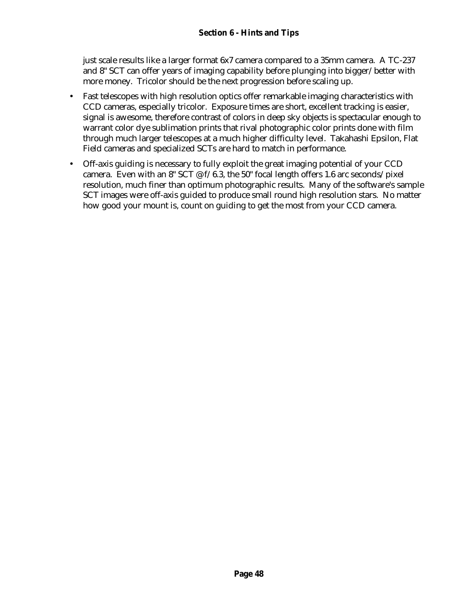just scale results like a larger format 6x7 camera compared to a 35mm camera. A TC-237 and 8" SCT can offer years of imaging capability before plunging into bigger/better with more money. Tricolor should be the next progression before scaling up.

- Fast telescopes with high resolution optics offer remarkable imaging characteristics with CCD cameras, especially tricolor. Exposure times are short, excellent tracking is easier, signal is awesome, therefore contrast of colors in deep sky objects is spectacular enough to warrant color dye sublimation prints that rival photographic color prints done with film through much larger telescopes at a much higher difficulty level. Takahashi Epsilon, Flat Field cameras and specialized SCTs are hard to match in performance.
- Off-axis guiding is necessary to fully exploit the great imaging potential of your CCD camera. Even with an 8" SCT  $\mathcal{O}(f/6.3)$ , the 50" focal length offers 1.6 arc seconds/pixel resolution, much finer than optimum photographic results. Many of the software's sample SCT images were off-axis guided to produce small round high resolution stars. No matter how good your mount is, count on guiding to get the most from your CCD camera.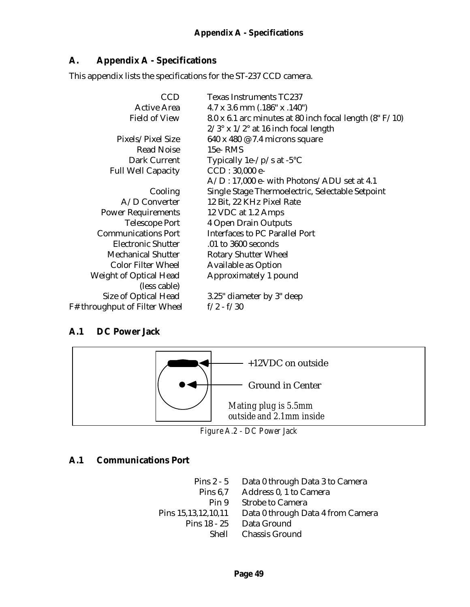## **A. Appendix A - Specifications**

This appendix lists the specifications for the ST-237 CCD camera.

| <b>CCD</b>                    | <b>Texas Instruments TC237</b>                            |
|-------------------------------|-----------------------------------------------------------|
| <b>Active Area</b>            | $4.7 \times 3.6$ mm $(.186" \times .140")$                |
| <b>Field of View</b>          | 8.0 x 6.1 arc minutes at 80 inch focal length $(8" F/10)$ |
|                               | $2/3^{\circ}$ x $1/2^{\circ}$ at 16 inch focal length     |
| Pixels/Pixel Size             | 640 x 480 @ 7.4 microns square                            |
| <b>Read Noise</b>             | 15e-RMS                                                   |
| Dark Current                  | Typically 1e- $/p$ /s at -5 $°C$                          |
| <b>Full Well Capacity</b>     | $CCD: 30,000 e-$                                          |
|                               | $A/D$ : 17,000 e- with Photons/ADU set at 4.1             |
| Cooling                       | Single Stage Thermoelectric, Selectable Setpoint          |
| A/D Converter                 | 12 Bit, 22 KHz Pixel Rate                                 |
| <b>Power Requirements</b>     | 12 VDC at 1.2 Amps                                        |
| <b>Telescope Port</b>         | <b>4 Open Drain Outputs</b>                               |
| <b>Communications Port</b>    | <b>Interfaces to PC Parallel Port</b>                     |
| <b>Electronic Shutter</b>     | .01 to 3600 seconds                                       |
| <b>Mechanical Shutter</b>     | <b>Rotary Shutter Wheel</b>                               |
| <b>Color Filter Wheel</b>     | <b>Available as Option</b>                                |
| Weight of Optical Head        | Approximately 1 pound                                     |
| (less cable)                  |                                                           |
| Size of Optical Head          | 3.25" diameter by 3" deep                                 |
| F# throughput of Filter Wheel | $f/2 - f/30$                                              |

#### **A.1 DC Power Jack**



*Figure A.2 - DC Power Jack*

#### **A.1 Communications Port**

Pins 2 - 5 Data 0 through Data 3 to Camera<br>Pins 6.7 Address 0, 1 to Camera Address 0, 1 to Camera Pin 9 Strobe to Camera Pins 15,13,12,10,11 Data 0 through Data 4 from Camera Pins 18 - 25 Data Ground Shell Chassis Ground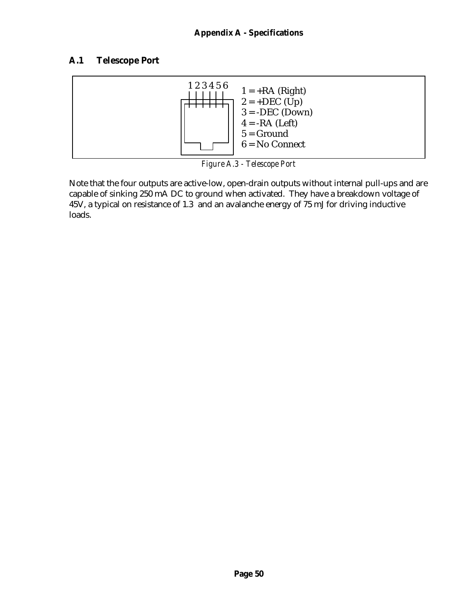# **A.1 Telescope Port**



*Figure A.3 - Telescope Port*

Note that the four outputs are active-low, open-drain outputs without internal pull-ups and are capable of sinking 250 mA DC to ground when activated. They have a breakdown voltage of 45V, a typical on resistance of 1.3 and an avalanche energy of 75 mJ for driving inductive loads.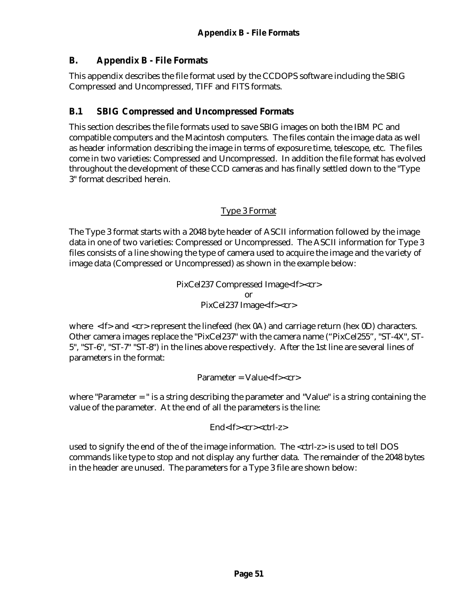## **B. Appendix B - File Formats**

This appendix describes the file format used by the CCDOPS software including the SBIG Compressed and Uncompressed, TIFF and FITS formats.

## **B.1 SBIG Compressed and Uncompressed Formats**

This section describes the file formats used to save SBIG images on both the IBM PC and compatible computers and the Macintosh computers. The files contain the image data as well as header information describing the image in terms of exposure time, telescope, etc. The files come in two varieties: Compressed and Uncompressed. In addition the file format has evolved throughout the development of these CCD cameras and has finally settled down to the "Type 3" format described herein.

#### Type 3 Format

The Type 3 format starts with a 2048 byte header of ASCII information followed by the image data in one of two varieties: Compressed or Uncompressed. The ASCII information for Type 3 files consists of a line showing the type of camera used to acquire the image and the variety of image data (Compressed or Uncompressed) as shown in the example below:

> PixCel237 Compressed Image<lf><cr> or PixCel237 Image<lf><cr>

where <lf> and <cr> represent the linefeed (hex 0A) and carriage return (hex 0D) characters. Other camera images replace the "PixCel237" with the camera name ("PixCel255", "ST-4X", ST-5", "ST-6", "ST-7" "ST-8") in the lines above respectively. After the 1st line are several lines of parameters in the format:

 $Parameter = Value < If < c$ 

where "Parameter = " is a string describing the parameter and "Value" is a string containing the value of the parameter. At the end of all the parameters is the line:

End<lf><cr><ctrl-z>

used to signify the end of the of the image information. The <ctrl-z> is used to tell DOS commands like type to stop and not display any further data. The remainder of the 2048 bytes in the header are unused. The parameters for a Type 3 file are shown below: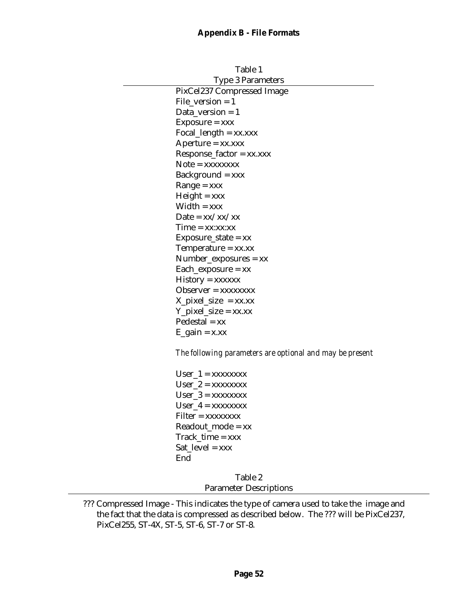| Table 1 |                                                          |
|---------|----------------------------------------------------------|
|         | <b>Type 3 Parameters</b>                                 |
|         | PixCel237 Compressed Image                               |
|         | $File\_version = 1$                                      |
|         | Data_version = $1$                                       |
|         | $Exposure = xxx$                                         |
|         | Focal_length = $xx$ . $xxx$                              |
|         | $A$ perture = $xx$ . $xxx$                               |
|         | $Respose\_factor = xx.xxx$                               |
|         | $Note = XXXXXX$                                          |
|         | $Background = xxx$                                       |
|         | $Range = XXX$                                            |
|         | $Height = xxx$                                           |
|         | $Width = xxx$                                            |
|         | Date = $xx/xx/xx$                                        |
|         | Time = xx:xx:xx                                          |
|         | $Exposure\_state = xx$                                   |
|         | Temperature = $xx$ . $xx$                                |
|         | $Number_{exposures} = xx$                                |
|         | $Each\_exposure = xx$                                    |
|         | History = xxxxxx                                         |
|         | $Observer = XXXXXX$                                      |
|         | $X$ <sub>p</sub> ixel_size = xx.xx                       |
|         | $Y$ <sub>_</sub> pixel_size = xx.xx                      |
|         | $Pedestal = xx$                                          |
|         | $E_{gain} = x.xx$                                        |
|         | The following parameters are optional and may be present |
|         | $User_1 = XXXXXX$                                        |
|         | $User_2 = XXXXXX$                                        |
|         | $User_3 = XXXXXX$                                        |
|         | User $4 = XXXXXXX$                                       |
|         | Filter = xxxxxxxx                                        |
|         | $Readout_model = xx$                                     |
|         | Track_time = xxx                                         |
|         | Sat $level = XXX$                                        |
|         | End                                                      |

Table 2

Parameter Descriptions

<sup>???</sup> Compressed Image - This indicates the type of camera used to take the image and the fact that the data is compressed as described below. The ??? will be PixCel237, PixCel255, ST-4X, ST-5, ST-6, ST-7 or ST-8.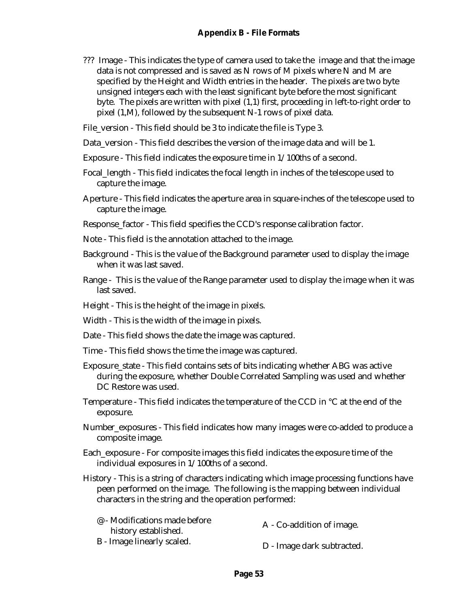- ??? Image This indicates the type of camera used to take the image and that the image data is not compressed and is saved as N rows of M pixels where N and M are specified by the Height and Width entries in the header. The pixels are two byte unsigned integers each with the least significant byte before the most significant byte. The pixels are written with pixel (1,1) first, proceeding in left-to-right order to pixel (1,M), followed by the subsequent N-1 rows of pixel data.
- File\_version This field should be 3 to indicate the file is Type 3.
- Data\_version This field describes the version of the image data and will be 1.
- Exposure This field indicates the exposure time in 1/100ths of a second.
- Focal\_length This field indicates the focal length in inches of the telescope used to capture the image.
- Aperture This field indicates the aperture area in square-inches of the telescope used to capture the image.
- Response factor This field specifies the CCD's response calibration factor.
- Note This field is the annotation attached to the image.
- Background This is the value of the Background parameter used to display the image when it was last saved.
- Range This is the value of the Range parameter used to display the image when it was last saved.
- Height This is the height of the image in pixels.
- Width This is the width of the image in pixels.
- Date This field shows the date the image was captured.
- Time This field shows the time the image was captured.
- Exposure\_state This field contains sets of bits indicating whether ABG was active during the exposure, whether Double Correlated Sampling was used and whether DC Restore was used.
- Temperature This field indicates the temperature of the CCD in °C at the end of the exposure.
- Number\_exposures This field indicates how many images were co-added to produce a composite image.
- Each\_exposure For composite images this field indicates the exposure time of the individual exposures in 1/100ths of a second.
- History This is a string of characters indicating which image processing functions have peen performed on the image. The following is the mapping between individual characters in the string and the operation performed:

| @ - Modifications made before | A - Co-addition of image.  |
|-------------------------------|----------------------------|
| history established.          |                            |
| B - Image linearly scaled.    | D - Image dark subtracted. |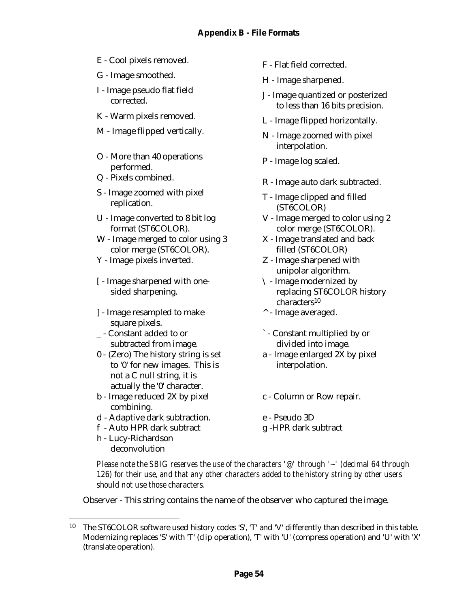- E Cool pixels removed.<br>
F Flat field corrected.
- G Image smoothed. H Image sharpened.
- I Image pseudo flat field
- 
- $M$  Image flipped vertically.  $N$  Image zoomed with pixel
- O More than 40 operations performed.<br>
P - Image log scaled.
- 
- S Image zoomed with pixel
- U Image converted to 8 bit log format (ST6COLOR).
- W Image merged to color using 3 color merge (ST6COLOR).
- Y Image pixels inverted. Z Image sharpened with
- [ Image sharpened with onesided sharpening.
- ] Image resampled to make square pixels.
- \_ Constant added to or subtracted from image.
- 0 (Zero) The history string is set to '0' for new images. This is not a C null string, it is actually the '0' character.
- b Image reduced 2X by pixel combining.
- d Adaptive dark subtraction. e Pseudo 3D
- f Auto HPR dark subtract g -HPR dark subtract
- h Lucy-Richardson deconvolution

 $\overline{a}$ 

- 
- 
- mage pseudo nat nera<br>
J Image quantized or posterized<br>  $\frac{1}{2}$ to less than 16 bits precision.
- K Warm pixels removed.<br>L Image flipped horizontally.
	- interpolation.
	-
- $Q$  Pixels combined.<br>R Image auto dark subtracted.
	- replication. T Image clipped and filled<br>replication. (ST6COLOR)
		- V Image merged to color using 2 color merge (ST6COLOR).
		- X Image translated and back filled (ST6COLOR)
		- unipolar algorithm.
		- \ Image modernized by replacing ST6COLOR history characters<sup>10</sup>
		- ^ Image averaged.
		- ` Constant multiplied by or divided into image.
		- a Image enlarged 2X by pixel interpolation.
		- c Column or Row repair.
		-
		-

*Please note the SBIG reserves the use of the characters '@' through '~' (decimal 64 through 126) for their use, and that any other characters added to the history string by other users should not use those characters.*

Observer - This string contains the name of the observer who captured the image.

<sup>10</sup> The ST6COLOR software used history codes 'S', 'T' and 'V' differently than described in this table. Modernizing replaces 'S' with 'T' (clip operation), 'T' with 'U' (compress operation) and 'U' with 'X' (translate operation).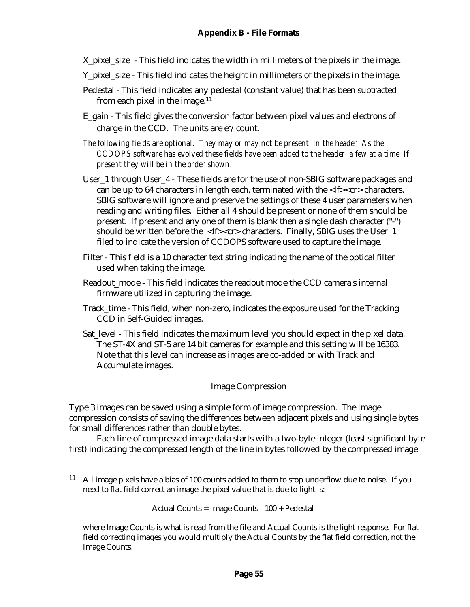- X pixel size This field indicates the width in millimeters of the pixels in the image.
- Y\_pixel\_size This field indicates the height in millimeters of the pixels in the image.
- Pedestal This field indicates any pedestal (constant value) that has been subtracted from each pixel in the image. $11$
- E\_gain This field gives the conversion factor between pixel values and electrons of charge in the CCD. The units are  $e^-$ /count.
- *The following fields are optional. They may or may not be present. in the header As the CCDOPS software has evolved these fields have been added to the header. a few at a time If present they will be in the order shown.*
- User\_1 through User\_4 These fields are for the use of non-SBIG software packages and can be up to 64 characters in length each, terminated with the <lf><cr> characters. SBIG software will ignore and preserve the settings of these 4 user parameters when reading and writing files. Either all 4 should be present or none of them should be present. If present and any one of them is blank then a single dash character ("-") should be written before the <lf><cr> characters. Finally, SBIG uses the User\_1 filed to indicate the version of CCDOPS software used to capture the image.
- Filter This field is a 10 character text string indicating the name of the optical filter used when taking the image.
- Readout\_mode This field indicates the readout mode the CCD camera's internal firmware utilized in capturing the image.
- Track time This field, when non-zero, indicates the exposure used for the Tracking CCD in Self-Guided images.
- Sat level This field indicates the maximum level you should expect in the pixel data. The ST-4X and ST-5 are 14 bit cameras for example and this setting will be 16383. Note that this level can increase as images are co-added or with Track and Accumulate images.

#### Image Compression

Type 3 images can be saved using a simple form of image compression. The image compression consists of saving the differences between adjacent pixels and using single bytes for small differences rather than double bytes.

Each line of compressed image data starts with a two-byte integer (least significant byte first) indicating the compressed length of the line in bytes followed by the compressed image

Actual Counts = Image Counts - 100 + Pedestal

 $\overline{a}$ 

<sup>&</sup>lt;sup>11</sup> All image pixels have a bias of 100 counts added to them to stop underflow due to noise. If you need to flat field correct an image the pixel value that is due to light is:

where Image Counts is what is read from the file and Actual Counts is the light response. For flat field correcting images you would multiply the Actual Counts by the flat field correction, not the Image Counts.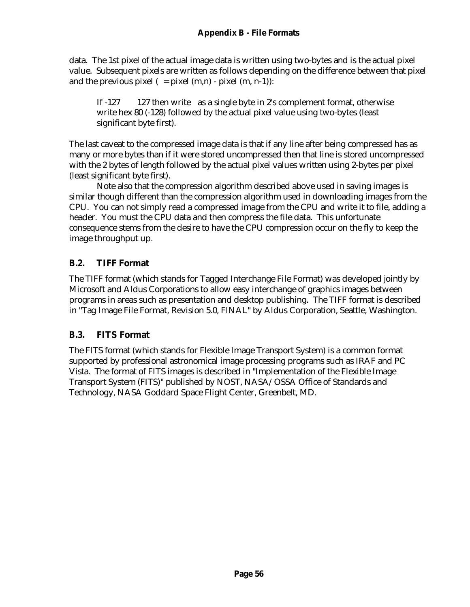data. The 1st pixel of the actual image data is written using two-bytes and is the actual pixel value. Subsequent pixels are written as follows depending on the difference between that pixel and the previous pixel  $( = pixel (m,n) - pixel (m, n-1))$ :

If -127 127 then write as a single byte in 2's complement format, otherwise write hex 80 (-128) followed by the actual pixel value using two-bytes (least significant byte first).

The last caveat to the compressed image data is that if any line after being compressed has as many or more bytes than if it were stored uncompressed then that line is stored uncompressed with the 2 bytes of length followed by the actual pixel values written using 2-bytes per pixel (least significant byte first).

Note also that the compression algorithm described above used in saving images is similar though different than the compression algorithm used in downloading images from the CPU. You can not simply read a compressed image from the CPU and write it to file, adding a header. You must the CPU data and then compress the file data. This unfortunate consequence stems from the desire to have the CPU compression occur on the fly to keep the image throughput up.

## **B.2. TIFF Format**

The TIFF format (which stands for Tagged Interchange File Format) was developed jointly by Microsoft and Aldus Corporations to allow easy interchange of graphics images between programs in areas such as presentation and desktop publishing. The TIFF format is described in "Tag Image File Format, Revision 5.0, FINAL" by Aldus Corporation, Seattle, Washington.

#### **B.3. FITS Format**

The FITS format (which stands for Flexible Image Transport System) is a common format supported by professional astronomical image processing programs such as IRAF and PC Vista. The format of FITS images is described in "Implementation of the Flexible Image Transport System (FITS)" published by NOST, NASA/OSSA Office of Standards and Technology, NASA Goddard Space Flight Center, Greenbelt, MD.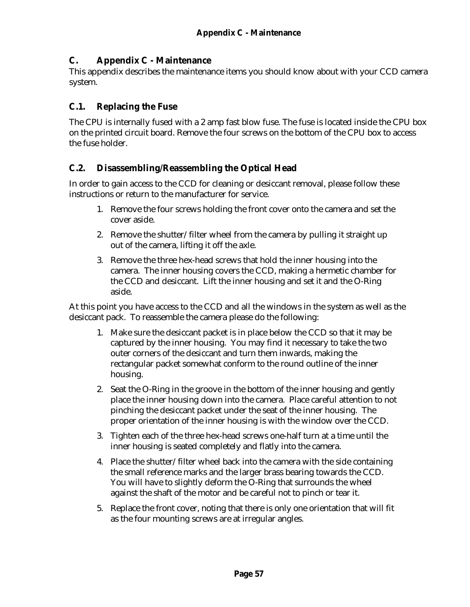#### **C. Appendix C - Maintenance**

This appendix describes the maintenance items you should know about with your CCD camera system.

#### **C.1. Replacing the Fuse**

The CPU is internally fused with a 2 amp fast blow fuse. The fuse is located inside the CPU box on the printed circuit board. Remove the four screws on the bottom of the CPU box to access the fuse holder.

#### **C.2. Disassembling/Reassembling the Optical Head**

In order to gain access to the CCD for cleaning or desiccant removal, please follow these instructions or return to the manufacturer for service.

- 1. Remove the four screws holding the front cover onto the camera and set the cover aside.
- 2. Remove the shutter/filter wheel from the camera by pulling it straight up out of the camera, lifting it off the axle.
- 3. Remove the three hex-head screws that hold the inner housing into the camera. The inner housing covers the CCD, making a hermetic chamber for the CCD and desiccant. Lift the inner housing and set it and the O-Ring aside.

At this point you have access to the CCD and all the windows in the system as well as the desiccant pack. To reassemble the camera please do the following:

- 1. Make sure the desiccant packet is in place below the CCD so that it may be captured by the inner housing. You may find it necessary to take the two outer corners of the desiccant and turn them inwards, making the rectangular packet somewhat conform to the round outline of the inner housing.
- 2. Seat the O-Ring in the groove in the bottom of the inner housing and gently place the inner housing down into the camera. Place careful attention to not pinching the desiccant packet under the seat of the inner housing. The proper orientation of the inner housing is with the window over the CCD.
- 3. Tighten each of the three hex-head screws one-half turn at a time until the inner housing is seated completely and flatly into the camera.
- 4. Place the shutter/filter wheel back into the camera with the side containing the small reference marks and the larger brass bearing towards the CCD. You will have to slightly deform the O-Ring that surrounds the wheel against the shaft of the motor and be careful not to pinch or tear it.
- 5. Replace the front cover, noting that there is only one orientation that will fit as the four mounting screws are at irregular angles.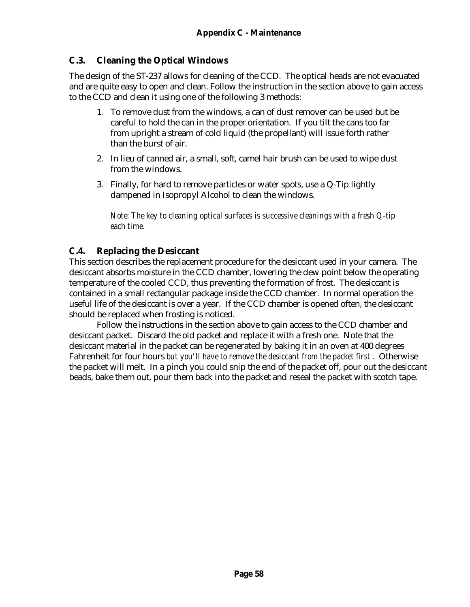## **C.3. Cleaning the Optical Windows**

The design of the ST-237 allows for cleaning of the CCD. The optical heads are not evacuated and are quite easy to open and clean. Follow the instruction in the section above to gain access to the CCD and clean it using one of the following 3 methods:

- 1. To remove dust from the windows, a can of dust remover can be used but be careful to hold the can in the proper orientation. If you tilt the cans too far from upright a stream of cold liquid (the propellant) will issue forth rather than the burst of air.
- 2. In lieu of canned air, a small, soft, camel hair brush can be used to wipe dust from the windows.
- 3. Finally, for hard to remove particles or water spots, use a Q-Tip lightly dampened in Isopropyl Alcohol to clean the windows.

*Note: The key to cleaning optical surfaces is successive cleanings with a fresh Q-tip each time.*

## **C.4. Replacing the Desiccant**

This section describes the replacement procedure for the desiccant used in your camera. The desiccant absorbs moisture in the CCD chamber, lowering the dew point below the operating temperature of the cooled CCD, thus preventing the formation of frost. The desiccant is contained in a small rectangular package inside the CCD chamber. In normal operation the useful life of the desiccant is over a year. If the CCD chamber is opened often, the desiccant should be replaced when frosting is noticed.

Follow the instructions in the section above to gain access to the CCD chamber and desiccant packet. Discard the old packet and replace it with a fresh one. Note that the desiccant material in the packet can be regenerated by baking it in an oven at 400 degrees Fahrenheit for four hours *but you'll have to remove the desiccant from the packet first* . Otherwise the packet will melt. In a pinch you could snip the end of the packet off, pour out the desiccant beads, bake them out, pour them back into the packet and reseal the packet with scotch tape.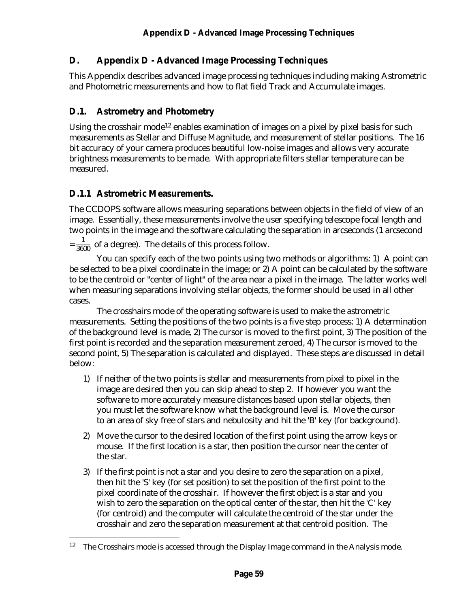This Appendix describes advanced image processing techniques including making Astrometric and Photometric measurements and how to flat field Track and Accumulate images.

# **D.1. Astrometry and Photometry**

Using the crosshair mode<sup>12</sup> enables examination of images on a pixel by pixel basis for such measurements as Stellar and Diffuse Magnitude, and measurement of stellar positions. The 16 bit accuracy of your camera produces beautiful low-noise images and allows very accurate brightness measurements to be made. With appropriate filters stellar temperature can be measured.

# **D.1.1 Astrometric Measurements.**

 $\overline{a}$ 

The CCDOPS software allows measuring separations between objects in the field of view of an image. Essentially, these measurements involve the user specifying telescope focal length and two points in the image and the software calculating the separation in arcseconds (1 arcsecond

 $=\frac{1}{3600}$  of a degree). The details of this process follow.

You can specify each of the two points using two methods or algorithms: 1) A point can be selected to be a pixel coordinate in the image; or 2) A point can be calculated by the software to be the centroid or "center of light" of the area near a pixel in the image. The latter works well when measuring separations involving stellar objects, the former should be used in all other cases.

The crosshairs mode of the operating software is used to make the astrometric measurements. Setting the positions of the two points is a five step process: 1) A determination of the background level is made, 2) The cursor is moved to the first point, 3) The position of the first point is recorded and the separation measurement zeroed, 4) The cursor is moved to the second point, 5) The separation is calculated and displayed. These steps are discussed in detail below:

- 1) If neither of the two points is stellar and measurements from pixel to pixel in the image are desired then you can skip ahead to step 2. If however you want the software to more accurately measure distances based upon stellar objects, then you must let the software know what the background level is. Move the cursor to an area of sky free of stars and nebulosity and hit the 'B' key (for background).
- 2) Move the cursor to the desired location of the first point using the arrow keys or mouse. If the first location is a star, then position the cursor near the center of the star.
- 3) If the first point is not a star and you desire to zero the separation on a pixel, then hit the 'S' key (for set position) to set the position of the first point to the pixel coordinate of the crosshair. If however the first object is a star and you wish to zero the separation on the optical center of the star, then hit the 'C' key (for centroid) and the computer will calculate the centroid of the star under the crosshair and zero the separation measurement at that centroid position. The

<sup>&</sup>lt;sup>12</sup> The Crosshairs mode is accessed through the Display Image command in the Analysis mode.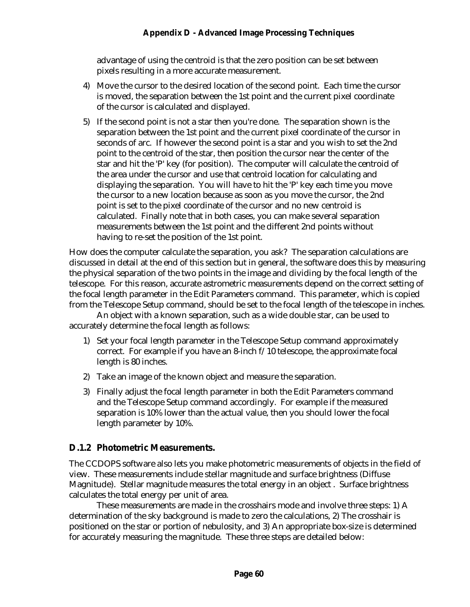advantage of using the centroid is that the zero position can be set between pixels resulting in a more accurate measurement.

- 4) Move the cursor to the desired location of the second point. Each time the cursor is moved, the separation between the 1st point and the current pixel coordinate of the cursor is calculated and displayed.
- 5) If the second point is not a star then you're done. The separation shown is the separation between the 1st point and the current pixel coordinate of the cursor in seconds of arc. If however the second point is a star and you wish to set the 2nd point to the centroid of the star, then position the cursor near the center of the star and hit the 'P' key (for position). The computer will calculate the centroid of the area under the cursor and use that centroid location for calculating and displaying the separation. You will have to hit the 'P' key each time you move the cursor to a new location because as soon as you move the cursor, the 2nd point is set to the pixel coordinate of the cursor and no new centroid is calculated. Finally note that in both cases, you can make several separation measurements between the 1st point and the different 2nd points without having to re-set the position of the 1st point.

How does the computer calculate the separation, you ask? The separation calculations are discussed in detail at the end of this section but in general, the software does this by measuring the physical separation of the two points in the image and dividing by the focal length of the telescope. For this reason, accurate astrometric measurements depend on the correct setting of the focal length parameter in the Edit Parameters command. This parameter, which is copied from the Telescope Setup command, should be set to the focal length of the telescope in inches.

An object with a known separation, such as a wide double star, can be used to accurately determine the focal length as follows:

- 1) Set your focal length parameter in the Telescope Setup command approximately correct. For example if you have an 8-inch f/10 telescope, the approximate focal length is 80 inches.
- 2) Take an image of the known object and measure the separation.
- 3) Finally adjust the focal length parameter in both the Edit Parameters command and the Telescope Setup command accordingly. For example if the measured separation is 10% lower than the actual value, then you should lower the focal length parameter by 10%.

#### **D.1.2 Photometric Measurements.**

The CCDOPS software also lets you make photometric measurements of objects in the field of view. These measurements include stellar magnitude and surface brightness (Diffuse Magnitude). Stellar magnitude measures the total energy in an object . Surface brightness calculates the total energy per unit of area.

These measurements are made in the crosshairs mode and involve three steps: 1) A determination of the sky background is made to zero the calculations, 2) The crosshair is positioned on the star or portion of nebulosity, and 3) An appropriate box-size is determined for accurately measuring the magnitude. These three steps are detailed below: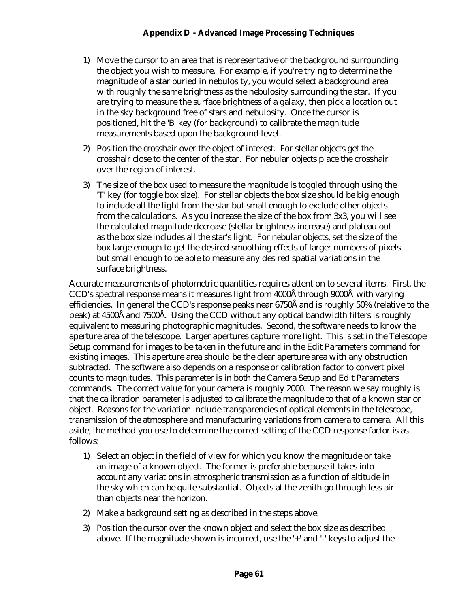- 1) Move the cursor to an area that is representative of the background surrounding the object you wish to measure. For example, if you're trying to determine the magnitude of a star buried in nebulosity, you would select a background area with roughly the same brightness as the nebulosity surrounding the star. If you are trying to measure the surface brightness of a galaxy, then pick a location out in the sky background free of stars and nebulosity. Once the cursor is positioned, hit the 'B' key (for background) to calibrate the magnitude measurements based upon the background level.
- 2) Position the crosshair over the object of interest. For stellar objects get the crosshair close to the center of the star. For nebular objects place the crosshair over the region of interest.
- 3) The size of the box used to measure the magnitude is toggled through using the 'T' key (for toggle box size). For stellar objects the box size should be big enough to include all the light from the star but small enough to exclude other objects from the calculations. As you increase the size of the box from 3x3, you will see the calculated magnitude decrease (stellar brightness increase) and plateau out as the box size includes all the star's light. For nebular objects, set the size of the box large enough to get the desired smoothing effects of larger numbers of pixels but small enough to be able to measure any desired spatial variations in the surface brightness.

Accurate measurements of photometric quantities requires attention to several items. First, the CCD's spectral response means it measures light from 4000Å through 9000Å with varying efficiencies. In general the CCD's response peaks near 6750Å and is roughly 50% (relative to the peak) at 4500Å and 7500Å. Using the CCD without any optical bandwidth filters is roughly equivalent to measuring photographic magnitudes. Second, the software needs to know the aperture area of the telescope. Larger apertures capture more light. This is set in the Telescope Setup command for images to be taken in the future and in the Edit Parameters command for existing images. This aperture area should be the clear aperture area with any obstruction subtracted. The software also depends on a response or calibration factor to convert pixel counts to magnitudes. This parameter is in both the Camera Setup and Edit Parameters commands. The correct value for your camera is roughly 2000. The reason we say roughly is that the calibration parameter is adjusted to calibrate the magnitude to that of a known star or object. Reasons for the variation include transparencies of optical elements in the telescope, transmission of the atmosphere and manufacturing variations from camera to camera. All this aside, the method you use to determine the correct setting of the CCD response factor is as follows:

- 1) Select an object in the field of view for which you know the magnitude or take an image of a known object. The former is preferable because it takes into account any variations in atmospheric transmission as a function of altitude in the sky which can be quite substantial. Objects at the zenith go through less air than objects near the horizon.
- 2) Make a background setting as described in the steps above.
- 3) Position the cursor over the known object and select the box size as described above. If the magnitude shown is incorrect, use the '+' and '-' keys to adjust the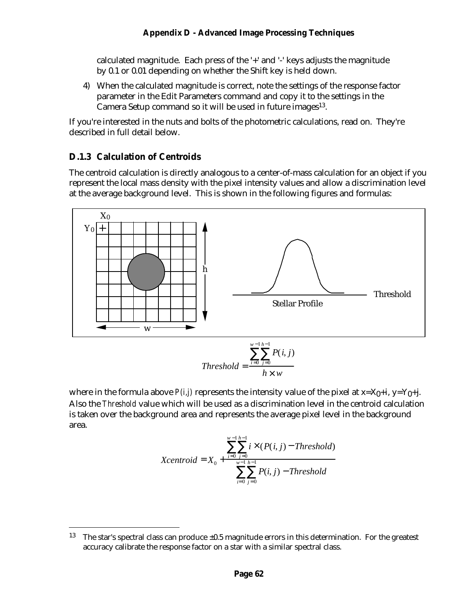calculated magnitude. Each press of the '+' and '-' keys adjusts the magnitude by 0.1 or 0.01 depending on whether the Shift key is held down.

4) When the calculated magnitude is correct, note the settings of the response factor parameter in the Edit Parameters command and copy it to the settings in the Camera Setup command so it will be used in future images<sup>13</sup>.

If you're interested in the nuts and bolts of the photometric calculations, read on. They're described in full detail below.

#### **D.1.3 Calculation of Centroids**

 $\overline{a}$ 

The centroid calculation is directly analogous to a center-of-mass calculation for an object if you represent the local mass density with the pixel intensity values and allow a discrimination level at the average background level. This is shown in the following figures and formulas:



where in the formula above  $P(i,j)$  represents the intensity value of the pixel at  $x=X_0+i$ ,  $y=Y_0+i$ . Also the *Threshold* value which will be used as a discrimination level in the centroid calculation is taken over the background area and represents the average pixel level in the background area.

Xcentroid = 
$$
X_0
$$
 + 
$$
\frac{\sum_{i=0}^{w-1} \sum_{j=0}^{h-1} i \times (P(i, j) - Threshold)}{\sum_{i=0}^{w-1} \sum_{j=0}^{h-1} P(i, j) - Threshold}
$$

<sup>&</sup>lt;sup>13</sup> The star's spectral class can produce  $\pm 0.5$  magnitude errors in this determination. For the greatest accuracy calibrate the response factor on a star with a similar spectral class.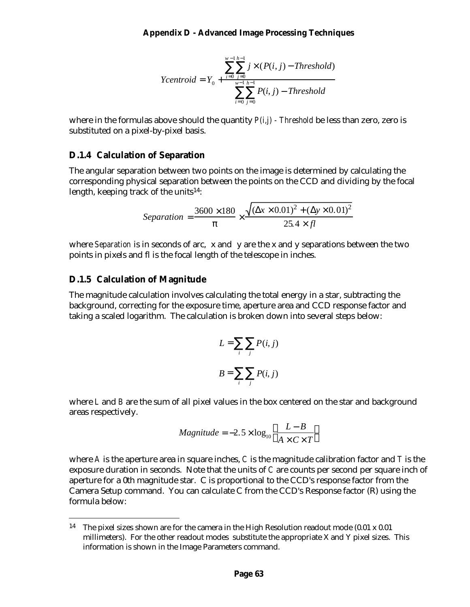*Ycentroid* = 
$$
Y_0
$$
 +  $\frac{\sum_{i=0}^{w-1} \sum_{j=0}^{h-1} j \times (P(i, j) - Threshold)}{\sum_{i=0}^{w-1} \sum_{j=0}^{h-1} P(i, j) - Threshold}$ 

where in the formulas above should the quantity *P(i,j) - Threshold* be less than zero, zero is substituted on a pixel-by-pixel basis.

#### **D.1.4 Calculation of Separation**

The angular separation between two points on the image is determined by calculating the corresponding physical separation between the points on the CCD and dividing by the focal length, keeping track of the units<sup>14</sup>:

$$
Separation = \frac{3600 \times 180}{p} \times \frac{\sqrt{(\Delta x \times 0.01)^2 + (\Delta y \times 0.01)^2}}{25.4 \times fl}
$$

where *Separation* is in seconds of arc, x and y are the x and y separations between the two points in pixels and fl is the focal length of the telescope in inches.

#### **D.1.5 Calculation of Magnitude**

 $\overline{a}$ 

The magnitude calculation involves calculating the total energy in a star, subtracting the background, correcting for the exposure time, aperture area and CCD response factor and taking a scaled logarithm. The calculation is broken down into several steps below:

$$
L = \sum_{i} \sum_{j} P(i, j)
$$

$$
B = \sum_{i} \sum_{j} P(i, j)
$$

where *L* and *B* are the sum of all pixel values in the box centered on the star and background areas respectively.

$$
Magnitude = -2.5 \times \log_{10}\left(\frac{L-B}{A \times C \times T}\right)
$$

where *A* is the aperture area in square inches, *C* is the magnitude calibration factor and *T* is the exposure duration in seconds. Note that the units of *C* are counts per second per square inch of aperture for a 0th magnitude star. C is proportional to the CCD's response factor from the Camera Setup command. You can calculate C from the CCD's Response factor (R) using the formula below:

<sup>&</sup>lt;sup>14</sup> The pixel sizes shown are for the camera in the High Resolution readout mode  $(0.01 \times 0.01)$ millimeters). For the other readout modes substitute the appropriate X and Y pixel sizes. This information is shown in the Image Parameters command.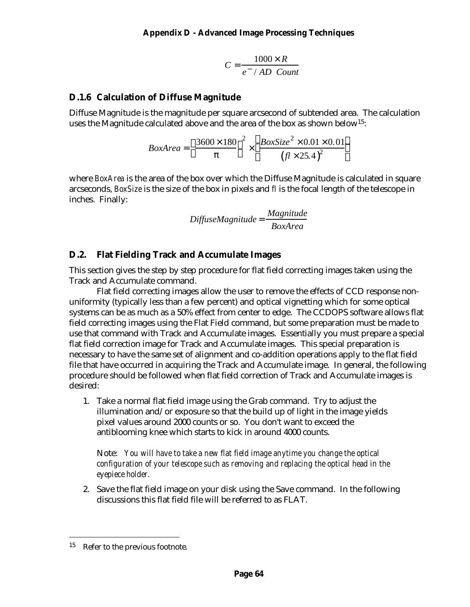$$
C = \frac{1000 \times R}{e^- / AD \text{ Count}}
$$

#### **D.1.6 Calculation of Diffuse Magnitude**

Diffuse Magnitude is the magnitude per square arcsecond of subtended area. The calculation uses the Magnitude calculated above and the area of the box as shown below15:

$$
BoxArea = \left(\frac{3600 \times 180}{p}\right)^2 \times \left(\frac{BoxSize^2 \times 0.01 \times 0.01}{(f1 \times 25.4)^2}\right)
$$

where *BoxArea* is the area of the box over which the Diffuse Magnitude is calculated in square arcseconds, *BoxSize* is the size of the box in pixels and *fl* is the focal length of the telescope in inches. Finally:

$$
Diffuse Magnitude = \frac{Magnitude}{BoxArea}
$$

#### **D.2. Flat Fielding Track and Accumulate Images**

This section gives the step by step procedure for flat field correcting images taken using the Track and Accumulate command.

Flat field correcting images allow the user to remove the effects of CCD response nonuniformity (typically less than a few percent) and optical vignetting which for some optical systems can be as much as a 50% effect from center to edge. The CCDOPS software allows flat field correcting images using the Flat Field command, but some preparation must be made to use that command with Track and Accumulate images. Essentially you must prepare a special flat field correction image for Track and Accumulate images. This special preparation is necessary to have the same set of alignment and co-addition operations apply to the flat field file that have occurred in acquiring the Track and Accumulate image. In general, the following procedure should be followed when flat field correction of Track and Accumulate images is desired:

1. Take a normal flat field image using the Grab command. Try to adjust the illumination and/or exposure so that the build up of light in the image yields pixel values around 2000 counts or so. You don't want to exceed the antiblooming knee which starts to kick in around 4000 counts.

Note: *You will have to take a new flat field image anytime you change the optical configuration of your telescope such as removing and replacing the optical head in the eyepiece holder.*

2. Save the flat field image on your disk using the Save command. In the following discussions this flat field file will be referred to as FLAT.

 $\overline{a}$ 

<sup>15</sup> Refer to the previous footnote.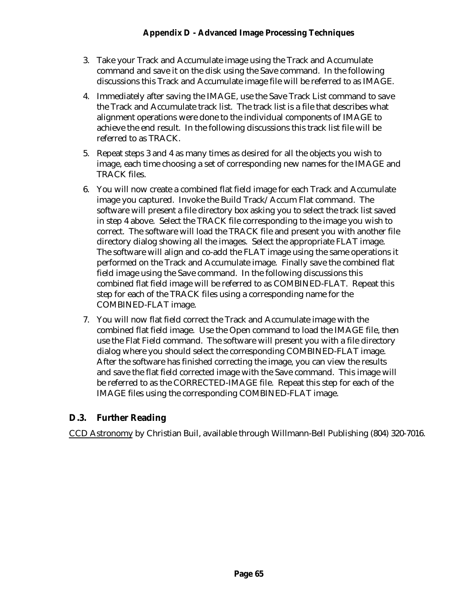- 3. Take your Track and Accumulate image using the Track and Accumulate command and save it on the disk using the Save command. In the following discussions this Track and Accumulate image file will be referred to as IMAGE.
- 4. Immediately after saving the IMAGE, use the Save Track List command to save the Track and Accumulate track list. The track list is a file that describes what alignment operations were done to the individual components of IMAGE to achieve the end result. In the following discussions this track list file will be referred to as TRACK.
- 5. Repeat steps 3 and 4 as many times as desired for all the objects you wish to image, each time choosing a set of corresponding new names for the IMAGE and TRACK files.
- 6. You will now create a combined flat field image for each Track and Accumulate image you captured. Invoke the Build Track/Accum Flat command. The software will present a file directory box asking you to select the track list saved in step 4 above. Select the TRACK file corresponding to the image you wish to correct. The software will load the TRACK file and present you with another file directory dialog showing all the images. Select the appropriate FLAT image. The software will align and co-add the FLAT image using the same operations it performed on the Track and Accumulate image. Finally save the combined flat field image using the Save command. In the following discussions this combined flat field image will be referred to as COMBINED-FLAT. Repeat this step for each of the TRACK files using a corresponding name for the COMBINED-FLAT image.
- 7. You will now flat field correct the Track and Accumulate image with the combined flat field image. Use the Open command to load the IMAGE file, then use the Flat Field command. The software will present you with a file directory dialog where you should select the corresponding COMBINED-FLAT image. After the software has finished correcting the image, you can view the results and save the flat field corrected image with the Save command. This image will be referred to as the CORRECTED-IMAGE file. Repeat this step for each of the IMAGE files using the corresponding COMBINED-FLAT image.

#### **D.3. Further Reading**

CCD Astronomy by Christian Buil, available through Willmann-Bell Publishing (804) 320-7016.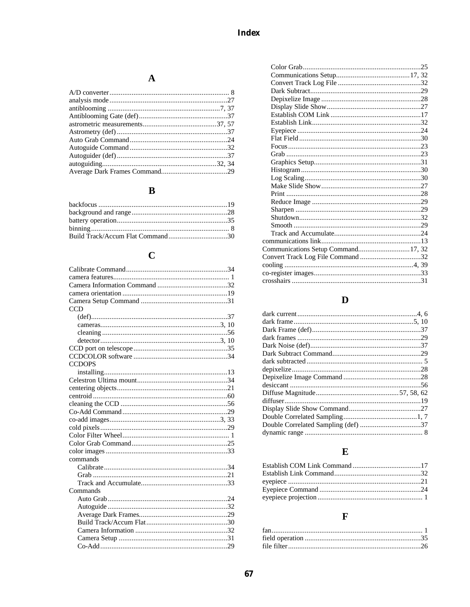# $\mathbf{A}$

# $\mathbf{B}$

# $\mathbf C$

| <b>CCD</b>    |  |
|---------------|--|
|               |  |
|               |  |
|               |  |
|               |  |
|               |  |
|               |  |
| <b>CCDOPS</b> |  |
|               |  |
|               |  |
|               |  |
|               |  |
|               |  |
|               |  |
|               |  |
|               |  |
|               |  |
|               |  |
|               |  |
| commands      |  |
|               |  |
|               |  |
|               |  |
| Commands      |  |
|               |  |
|               |  |
|               |  |
|               |  |
|               |  |
|               |  |
|               |  |
|               |  |

| Communications Setup Command 17, 32 |
|-------------------------------------|
|                                     |
|                                     |
|                                     |
|                                     |

# $\mathbf{D}$

# $\mathbf E$

# $\mathbf{F}$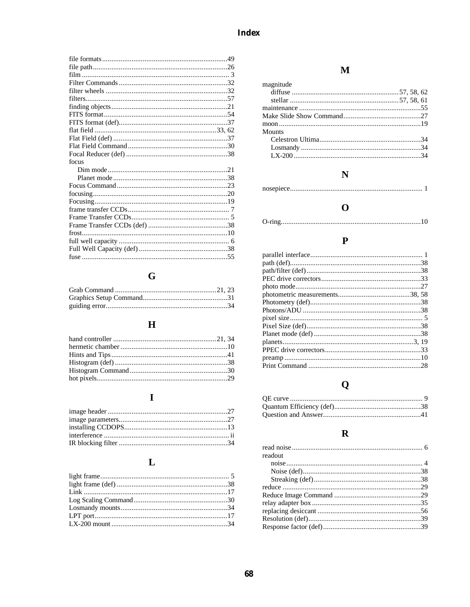| focus |  |
|-------|--|
|       |  |
|       |  |
|       |  |
|       |  |
|       |  |
|       |  |
|       |  |
|       |  |
|       |  |
|       |  |
|       |  |
|       |  |
|       |  |

# $\mathbf G$

### $\overline{\mathbf{H}}$

# $\mathbf{I}$

### $\mathbf{L}$

### $\mathbf{M}$

| magnitude |  |
|-----------|--|
|           |  |
|           |  |
|           |  |
|           |  |
|           |  |
| Mounts    |  |
|           |  |
|           |  |
|           |  |
|           |  |

### $\overline{\mathbf{N}}$

### $\mathbf{o}$

|--|

### $\mathbf P$

# $\mathbf Q$

### $\mathbf R$

| readout |  |
|---------|--|
|         |  |
|         |  |
|         |  |
|         |  |
|         |  |
|         |  |
|         |  |
|         |  |
|         |  |
|         |  |